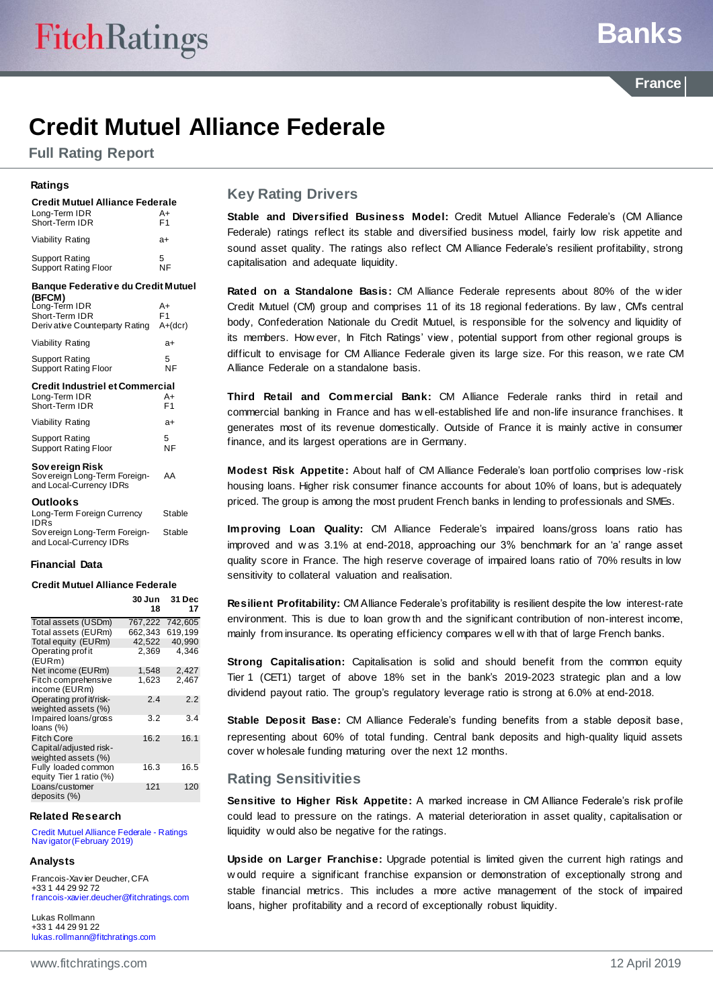**France**

# **Credit Mutuel Alliance Federale**

**Full Rating Report**

#### **Ratings**

#### **Credit Mutuel Alliance Federale** Long-Term IDR <br>Short-Term IDR F1  $Short-Term$  IDR Viability Rating a+ Support Rating 5<br>Support Rating Floor 5 Support Rating Floor **Banque Federativ e du Credit Mutuel (BFCM)** Long-Term IDR A+ Short-Term IDR Deriv ative Counterparty Rating A+(dcr) Viability Rating a+ Support Rating 5<br>Support Rating Floor 5 Support Rating Floor **Credit Industriel et Commercial** Long-Term IDR <br>Short-Term IDR F1 Short-Term IDR Viability Rating a+ Support Rating 5<br>Support Rating Floor 5 Support Rating Floor **Sov ereign Risk** Sov ereign Long-Term Foreignand Local-Currency IDRs AA **Outlooks** Long-Term Foreign Currency IDRs Stable Sov ereign Long-Term Foreignand Local-Currency IDRs **Stable**

#### **Financial Data**

#### **Credit Mutuel Alliance Federale**

|                                                                    | 30 Jun<br>18 | 31 Dec<br>17 |
|--------------------------------------------------------------------|--------------|--------------|
| Total assets (USDm)                                                | 767,222      | 742,605      |
| Total assets (EURm)                                                | 662,343      | 619.199      |
| Total equity (EURm)                                                | 42,522       | 40,990       |
| Operating prof it<br>(EURm)                                        | 2,369        | 4,346        |
| Net income (EURm)                                                  | 1,548        | 2,427        |
| Fitch comprehensive<br>income (EURm)                               | 1,623        | 2,467        |
| Operating prof it/risk-<br>weighted assets (%)                     | 2.4          | 2.2          |
| Impaired loans/gross<br>loans $(\%)$                               | 3.2          | 3.4          |
| <b>Fitch Core</b><br>Capital/adjusted risk-<br>weighted assets (%) | 16.2         | 16.1         |
| Fully loaded common<br>equity Tier 1 ratio (%)                     | 16.3         | 16.5         |
| Loans/customer<br>deposits (%)                                     | 121          | 120          |

#### **Related Research**

[Credit Mutuel Alliance Federale -](http://api.fitchconnect.com/v1/research/FR_RPT_10062896) Ratings [Nav igator \(February 2019\)](http://api.fitchconnect.com/v1/research/FR_RPT_10062896)

#### **Analysts**

Francois-Xav ier Deucher, CFA +33 1 44 29 92 72 [f rancois-xavier.deucher@fitchratings.com](mailto:francois-xavier.deucher@fitchratings.com)

Lukas Rollmann +33 1 44 29 91 22 [lukas.rollmann@fitchratings.com](mailto:julien.grandjean@fitchratings.com)

# **Key Rating Drivers**

**Stable and Diversified Business Model:** Credit Mutuel Alliance Federale's (CM Alliance Federale) ratings reflect its stable and diversified business model, fairly low risk appetite and sound asset quality. The ratings also reflect CM Alliance Federale's resilient profitability, strong capitalisation and adequate liquidity.

**Rated on a Standalone Basis:** CM Alliance Federale represents about 80% of the w ider Credit Mutuel (CM) group and comprises 11 of its 18 regional federations. By law , CM's central body, Confederation Nationale du Credit Mutuel, is responsible for the solvency and liquidity of its members. How ever, In Fitch Ratings' view , potential support from other regional groups is difficult to envisage for CM Alliance Federale given its large size. For this reason, w e rate CM Alliance Federale on a standalone basis.

**Third Retail and Commercial Bank:** CM Alliance Federale ranks third in retail and commercial banking in France and has w ell-established life and non-life insurance franchises. It generates most of its revenue domestically. Outside of France it is mainly active in consumer finance, and its largest operations are in Germany.

**Modest Risk Appetite:** About half of CM Alliance Federale's loan portfolio comprises low -risk housing loans. Higher risk consumer finance accounts for about 10% of loans, but is adequately priced. The group is among the most prudent French banks in lending to professionals and SMEs.

**Improving Loan Quality:** CM Alliance Federale's impaired loans/gross loans ratio has improved and w as 3.1% at end-2018, approaching our 3% benchmark for an 'a' range asset quality score in France. The high reserve coverage of impaired loans ratio of 70% results in low sensitivity to collateral valuation and realisation.

**Resilient Profitability:** CM Alliance Federale's profitability is resilient despite the low interest-rate environment. This is due to loan grow th and the significant contribution of non-interest income, mainly from insurance. Its operating efficiency compares w ell w ith that of large French banks.

**Strong Capitalisation:** Capitalisation is solid and should benefit from the common equity Tier 1 (CET1) target of above 18% set in the bank's 2019-2023 strategic plan and a low dividend payout ratio. The group's regulatory leverage ratio is strong at 6.0% at end-2018.

**Stable Deposit Base:** CM Alliance Federale's funding benefits from a stable deposit base, representing about 60% of total funding. Central bank deposits and high-quality liquid assets cover w holesale funding maturing over the next 12 months.

# **Rating Sensitivities**

**Sensitive to Higher Risk Appetite:** A marked increase in CM Alliance Federale's risk profile could lead to pressure on the ratings. A material deterioration in asset quality, capitalisation or liquidity w ould also be negative for the ratings.

**Upside on Larger Franchise:** Upgrade potential is limited given the current high ratings and w ould require a significant franchise expansion or demonstration of exceptionally strong and stable financial metrics. This includes a more active management of the stock of impaired loans, higher profitability and a record of exceptionally robust liquidity.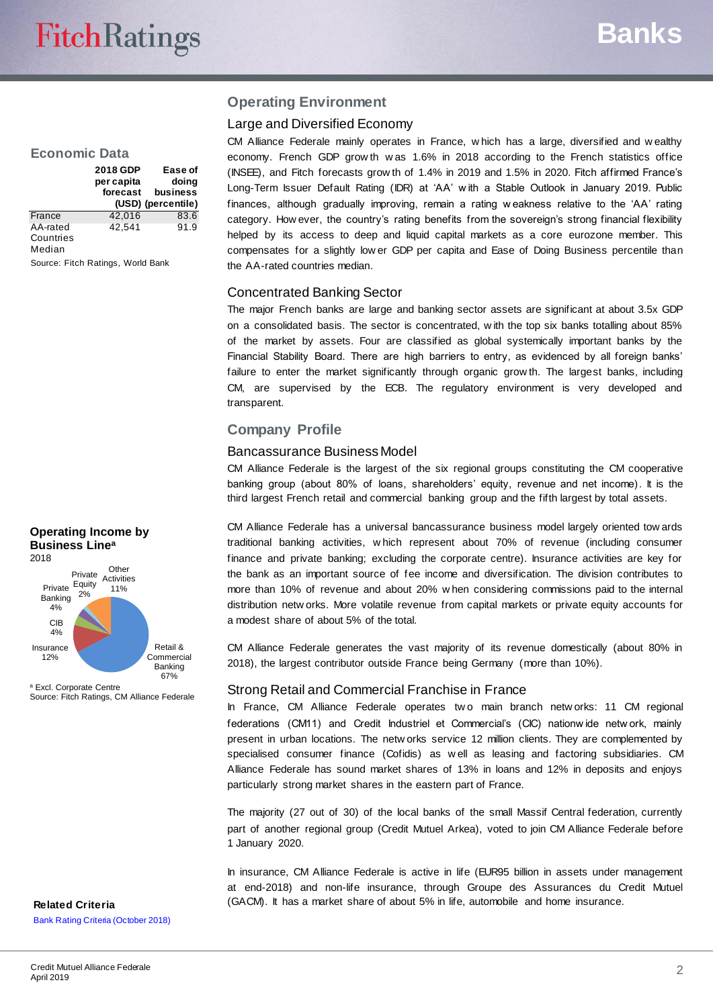#### **Economic Data**

|                                 | 2018 GDP<br>per capita<br>forecast | Ease of<br>doing<br>business<br>(USD) (percentile) |
|---------------------------------|------------------------------------|----------------------------------------------------|
| France                          | 42,016                             | 83.6                                               |
| AA-rated<br>Countries<br>Median | 42.541                             | 91.9                                               |
|                                 |                                    |                                                    |

Source: Fitch Ratings, World Bank

#### **Operating Income by Business Line<sup>a</sup>** 2018



<sup>a</sup> Excl. Corporate Centre Source: Fitch Ratings, CM Alliance Federale

#### **Related Criteria**

[Bank Rating Criteria \(October 2018\)](http://api.fitchconnect.com/v1/research/FR_RPT_10044408)

# **Operating Environment**

### Large and Diversified Economy

CM Alliance Federale mainly operates in France, w hich has a large, diversified and w ealthy economy. French GDP grow th w as 1.6% in 2018 according to the French statistics office (INSEE), and Fitch forecasts grow th of 1.4% in 2019 and 1.5% in 2020. Fitch affirmed France's Long-Term Issuer Default Rating (IDR) at 'AA' w ith a Stable Outlook in January 2019. Public finances, although gradually improving, remain a rating w eakness relative to the 'AA' rating category. How ever, the country's rating benefits from the sovereign's strong financial flexibility helped by its access to deep and liquid capital markets as a core eurozone member. This compensates for a slightly low er GDP per capita and Ease of Doing Business percentile than the AA-rated countries median.

#### Concentrated Banking Sector

The major French banks are large and banking sector assets are significant at about 3.5x GDP on a consolidated basis. The sector is concentrated, w ith the top six banks totalling about 85% of the market by assets. Four are classified as global systemically important banks by the Financial Stability Board. There are high barriers to entry, as evidenced by all foreign banks' failure to enter the market significantly through organic grow th. The largest banks, including CM, are supervised by the ECB. The regulatory environment is very developed and transparent.

# **Company Profile**

#### Bancassurance Business Model

CM Alliance Federale is the largest of the six regional groups constituting the CM cooperative banking group (about 80% of loans, shareholders' equity, revenue and net income). It is the third largest French retail and commercial banking group and the fifth largest by total assets.

CM Alliance Federale has a universal bancassurance business model largely oriented tow ards traditional banking activities, w hich represent about 70% of revenue (including consumer finance and private banking; excluding the corporate centre). Insurance activities are key for the bank as an important source of fee income and diversification. The division contributes to more than 10% of revenue and about 20% w hen considering commissions paid to the internal distribution netw orks. More volatile revenue from capital markets or private equity accounts for a modest share of about 5% of the total.

CM Alliance Federale generates the vast majority of its revenue domestically (about 80% in 2018), the largest contributor outside France being Germany (more than 10%).

#### Strong Retail and Commercial Franchise in France

In France, CM Alliance Federale operates two main branch networks: 11 CM regional federations (CM11) and Credit Industriel et Commercial's (CIC) nationw ide netw ork, mainly present in urban locations. The netw orks service 12 million clients. They are complemented by specialised consumer finance (Cofidis) as w ell as leasing and factoring subsidiaries. CM Alliance Federale has sound market shares of 13% in loans and 12% in deposits and enjoys particularly strong market shares in the eastern part of France.

The majority (27 out of 30) of the local banks of the small Massif Central federation, currently part of another regional group (Credit Mutuel Arkea), voted to join CM Alliance Federale before 1 January 2020.

In insurance, CM Alliance Federale is active in life (EUR95 billion in assets under management at end-2018) and non-life insurance, through Groupe des Assurances du Credit Mutuel (GACM). It has a market share of about 5% in life, automobile and home insurance.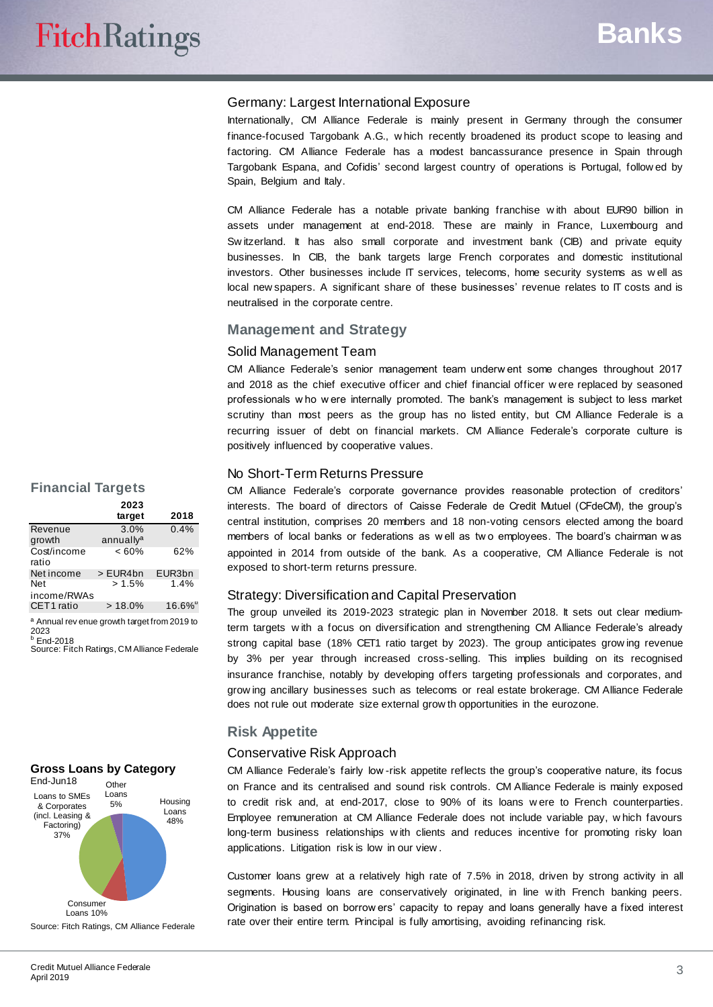#### Germany: Largest International Exposure

Internationally, CM Alliance Federale is mainly present in Germany through the consumer finance-focused Targobank A.G., w hich recently broadened its product scope to leasing and factoring. CM Alliance Federale has a modest bancassurance presence in Spain through Targobank Espana, and Cofidis' second largest country of operations is Portugal, follow ed by Spain, Belgium and Italy.

CM Alliance Federale has a notable private banking franchise w ith about EUR90 billion in assets under management at end-2018. These are mainly in France, Luxembourg and Sw itzerland. It has also small corporate and investment bank (CIB) and private equity businesses. In CIB, the bank targets large French corporates and domestic institutional investors. Other businesses include IT services, telecoms, home security systems as w ell as local new spapers. A significant share of these businesses' revenue relates to IT costs and is neutralised in the corporate centre.

#### **Management and Strategy**

#### Solid Management Team

CM Alliance Federale's senior management team underw ent some changes throughout 2017 and 2018 as the chief executive officer and chief financial officer w ere replaced by seasoned professionals w ho w ere internally promoted. The bank's management is subject to less market scrutiny than most peers as the group has no listed entity, but CM Alliance Federale is a recurring issuer of debt on financial markets. CM Alliance Federale's corporate culture is positively influenced by cooperative values.

#### No Short-Term Returns Pressure

CM Alliance Federale's corporate governance provides reasonable protection of creditors' interests. The board of directors of Caisse Federale de Credit Mutuel (CFdeCM), the group's central institution, comprises 20 members and 18 non-voting censors elected among the board members of local banks or federations as w ell as tw o employees. The board's chairman w as appointed in 2014 from outside of the bank. As a cooperative, CM Alliance Federale is not exposed to short-term returns pressure.

#### Strategy: Diversification and Capital Preservation

The group unveiled its 2019-2023 strategic plan in November 2018. It sets out clear mediumterm targets w ith a focus on diversification and strengthening CM Alliance Federale's already strong capital base (18% CET1 ratio target by 2023). The group anticipates grow ing revenue by 3% per year through increased cross-selling. This implies building on its recognised insurance franchise, notably by developing offers targeting professionals and corporates, and grow ing ancillary businesses such as telecoms or real estate brokerage. CM Alliance Federale does not rule out moderate size external grow th opportunities in the eurozone.

#### **Risk Appetite**

#### Conservative Risk Approach

CM Alliance Federale's fairly low -risk appetite reflects the group's cooperative nature, its focus on France and its centralised and sound risk controls. CM Alliance Federale is mainly exposed to credit risk and, at end-2017, close to 90% of its loans w ere to French counterparties. Employee remuneration at CM Alliance Federale does not include variable pay, w hich favours long-term business relationships w ith clients and reduces incentive for promoting risky loan applications. Litigation risk is low in our view .

Customer loans grew at a relatively high rate of 7.5% in 2018, driven by strong activity in all segments. Housing loans are conservatively originated, in line w ith French banking peers. Origination is based on borrow ers' capacity to repay and loans generally have a fixed interest rate over their entire term. Principal is fully amortising, avoiding refinancing risk.

#### **Financial Targets**

|                                                         | 2023                          |                       |
|---------------------------------------------------------|-------------------------------|-----------------------|
|                                                         | target                        | 2018                  |
| Revenue<br>growth                                       | 3.0%<br>annually <sup>a</sup> | 0.4%                  |
| Cost/income<br>ratio                                    | $<60\%$                       | 62%                   |
| Net income                                              | > EUR4bn                      | EUR3bn                |
| Net<br>income/RWAs                                      | >1.5%                         | 1.4%                  |
| CET1 ratio                                              | $>18.0\%$                     | $16.6\%$ <sup>b</sup> |
| <sup>a</sup> Annual rev enue growth target from 2019 to |                               |                       |

2023

<sup>b</sup> End-2018 Source: Fitch Ratings, CM Alliance Federale

#### **Gross Loans by Category**

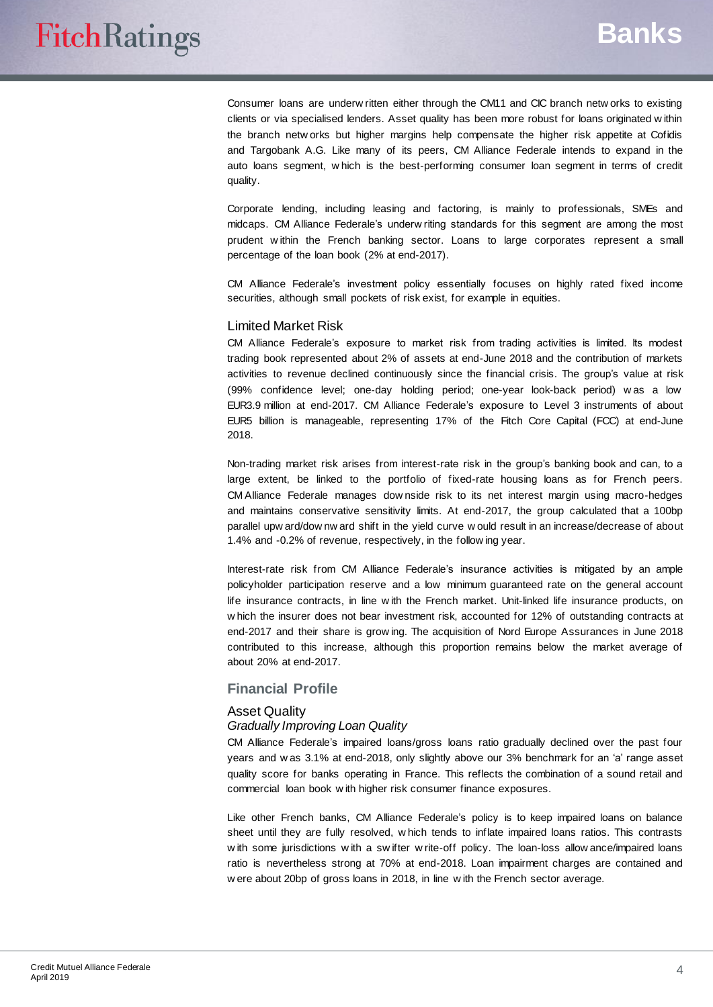Consumer loans are underw ritten either through the CM11 and CIC branch netw orks to existing clients or via specialised lenders. Asset quality has been more robust for loans originated w ithin the branch netw orks but higher margins help compensate the higher risk appetite at Cofidis and Targobank A.G. Like many of its peers, CM Alliance Federale intends to expand in the auto loans segment, w hich is the best-performing consumer loan segment in terms of credit quality.

Corporate lending, including leasing and factoring, is mainly to professionals, SMEs and midcaps. CM Alliance Federale's underw riting standards for this segment are among the most prudent w ithin the French banking sector. Loans to large corporates represent a small percentage of the loan book (2% at end-2017).

CM Alliance Federale's investment policy essentially focuses on highly rated fixed income securities, although small pockets of risk exist, for example in equities.

#### Limited Market Risk

CM Alliance Federale's exposure to market risk from trading activities is limited. Its modest trading book represented about 2% of assets at end-June 2018 and the contribution of markets activities to revenue declined continuously since the financial crisis. The group's value at risk (99% confidence level; one-day holding period; one-year look-back period) w as a low EUR3.9 million at end-2017. CM Alliance Federale's exposure to Level 3 instruments of about EUR5 billion is manageable, representing 17% of the Fitch Core Capital (FCC) at end-June 2018.

Non-trading market risk arises from interest-rate risk in the group's banking book and can, to a large extent, be linked to the portfolio of fixed-rate housing loans as for French peers. CM Alliance Federale manages dow nside risk to its net interest margin using macro-hedges and maintains conservative sensitivity limits. At end-2017, the group calculated that a 100bp parallel upw ard/dow nw ard shift in the yield curve w ould result in an increase/decrease of about 1.4% and -0.2% of revenue, respectively, in the follow ing year.

Interest-rate risk from CM Alliance Federale's insurance activities is mitigated by an ample policyholder participation reserve and a low minimum guaranteed rate on the general account life insurance contracts, in line w ith the French market. Unit-linked life insurance products, on w hich the insurer does not bear investment risk, accounted for 12% of outstanding contracts at end-2017 and their share is grow ing. The acquisition of Nord Europe Assurances in June 2018 contributed to this increase, although this proportion remains below the market average of about 20% at end-2017.

#### **Financial Profile**

#### Asset Quality

#### *Gradually Improving Loan Quality*

CM Alliance Federale's impaired loans/gross loans ratio gradually declined over the past four years and w as 3.1% at end-2018, only slightly above our 3% benchmark for an 'a' range asset quality score for banks operating in France. This reflects the combination of a sound retail and commercial loan book w ith higher risk consumer finance exposures.

Like other French banks, CM Alliance Federale's policy is to keep impaired loans on balance sheet until they are fully resolved, w hich tends to inflate impaired loans ratios. This contrasts w ith some jurisdictions w ith a sw ifter w rite-off policy. The loan-loss allow ance/impaired loans ratio is nevertheless strong at 70% at end-2018. Loan impairment charges are contained and w ere about 20bp of gross loans in 2018, in line w ith the French sector average.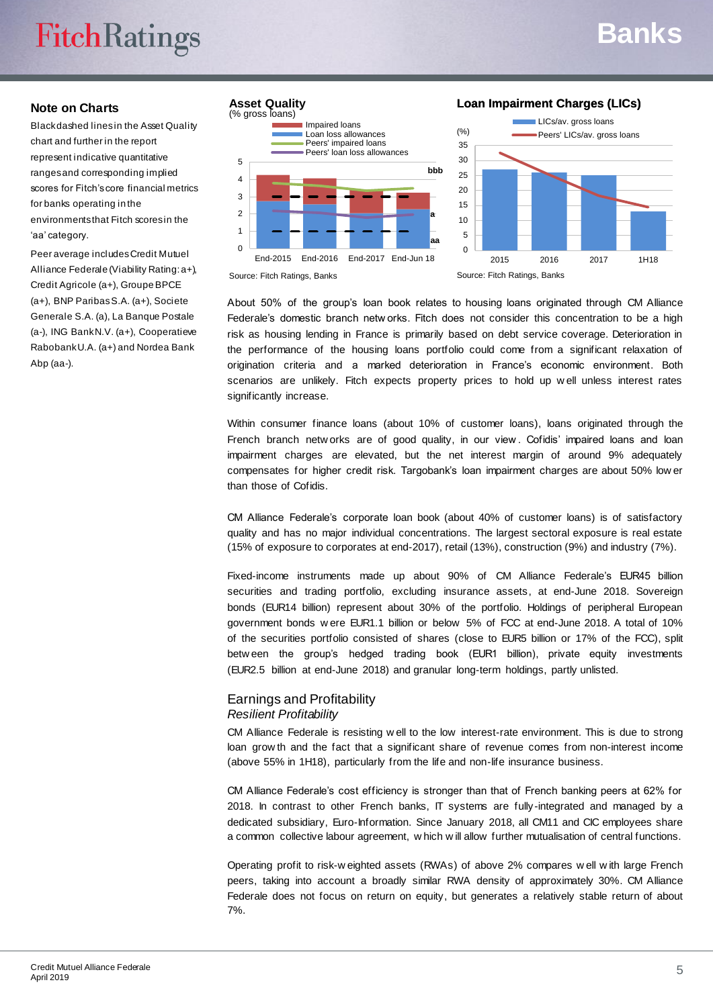# **FitchRatings**

# **Banks**

#### **Note on Charts**

Black dashed lines in the Asset Quality chart and further in the report represent indicative quantitative ranges and corresponding implied scores for Fitch's core financial metrics for banks operating in the environments that Fitch scores in the 'aa' category.

Peer average includes Credit Mutuel Alliance Federale (Viability Rating: a+), Credit Agricole (a+), Groupe BPCE (a+), BNP Paribas S.A. (a+), Societe Generale S.A. (a), La Banque Postale (a-), ING Bank N.V. (a+), Cooperatieve Rabobank U.A. (a+) and Nordea Bank Abp (aa-).

#### (% gross loans) **Asset Quality**



#### **Loan Impairment Charges (LICs)**



About 50% of the group's loan book relates to housing loans originated through CM Alliance Federale's domestic branch netw orks. Fitch does not consider this concentration to be a high risk as housing lending in France is primarily based on debt service coverage. Deterioration in the performance of the housing loans portfolio could come from a significant relaxation of origination criteria and a marked deterioration in France's economic environment. Both scenarios are unlikely. Fitch expects property prices to hold up w ell unless interest rates significantly increase.

Within consumer finance loans (about 10% of customer loans), loans originated through the French branch netw orks are of good quality, in our view. Cofidis' impaired loans and loan impairment charges are elevated, but the net interest margin of around 9% adequately compensates for higher credit risk. Targobank's loan impairment charges are about 50% low er than those of Cofidis.

CM Alliance Federale's corporate loan book (about 40% of customer loans) is of satisfactory quality and has no major individual concentrations. The largest sectoral exposure is real estate (15% of exposure to corporates at end-2017), retail (13%), construction (9%) and industry (7%).

Fixed-income instruments made up about 90% of CM Alliance Federale's EUR45 billion securities and trading portfolio, excluding insurance assets, at end-June 2018. Sovereign bonds (EUR14 billion) represent about 30% of the portfolio. Holdings of peripheral European government bonds w ere EUR1.1 billion or below 5% of FCC at end-June 2018. A total of 10% of the securities portfolio consisted of shares (close to EUR5 billion or 17% of the FCC), split betw een the group's hedged trading book (EUR1 billion), private equity investments (EUR2.5 billion at end-June 2018) and granular long-term holdings, partly unlisted.

### Earnings and Profitability *Resilient Profitability*

CM Alliance Federale is resisting w ell to the low interest-rate environment. This is due to strong loan grow th and the fact that a significant share of revenue comes from non-interest income (above 55% in 1H18), particularly from the life and non-life insurance business.

CM Alliance Federale's cost efficiency is stronger than that of French banking peers at 62% for 2018. In contrast to other French banks, IT systems are fully-integrated and managed by a dedicated subsidiary, Euro-Information. Since January 2018, all CM11 and CIC employees share a common collective labour agreement, w hich w ill allow further mutualisation of central functions.

Operating profit to risk-w eighted assets (RWAs) of above 2% compares w ell w ith large French peers, taking into account a broadly similar RWA density of approximately 30%. CM Alliance Federale does not focus on return on equity, but generates a relatively stable return of about 7%.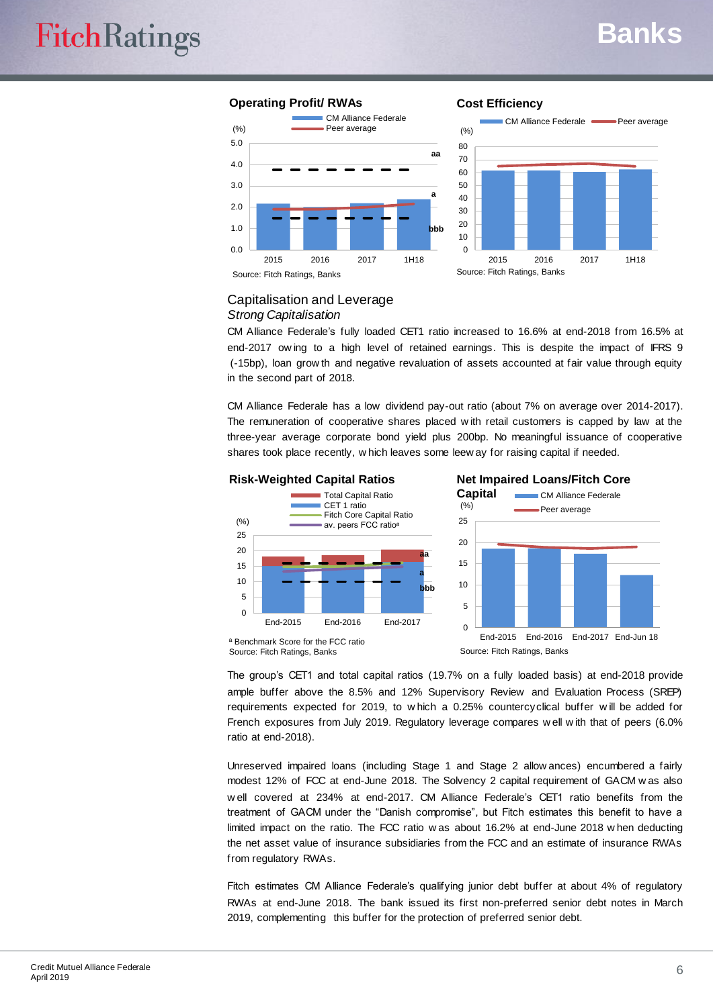# **Banks**

# **FitchRatings**

#### **Operating Profit/ RWAs**



#### **Cost Efficiency**



### Capitalisation and Leverage *Strong Capitalisation*

CM Alliance Federale's fully loaded CET1 ratio increased to 16.6% at end-2018 from 16.5% at end-2017 ow ing to a high level of retained earnings. This is despite the impact of IFRS 9 (-15bp), loan grow th and negative revaluation of assets accounted at fair value through equity in the second part of 2018.

CM Alliance Federale has a low dividend pay-out ratio (about 7% on average over 2014-2017). The remuneration of cooperative shares placed w ith retail customers is capped by law at the three-year average corporate bond yield plus 200bp. No meaningful issuance of cooperative shares took place recently, w hich leaves some leew ay for raising capital if needed.



The group's CET1 and total capital ratios (19.7% on a fully loaded basis) at end-2018 provide ample buffer above the 8.5% and 12% Supervisory Review and Evaluation Process (SREP) requirements expected for 2019, to w hich a 0.25% countercyclical buffer w ill be added for French exposures from July 2019. Regulatory leverage compares w ell w ith that of peers (6.0% ratio at end-2018).

Unreserved impaired loans (including Stage 1 and Stage 2 allow ances) encumbered a fairly modest 12% of FCC at end-June 2018. The Solvency 2 capital requirement of GACM w as also w ell covered at 234% at end-2017. CM Alliance Federale's CET1 ratio benefits from the treatment of GACM under the "Danish compromise", but Fitch estimates this benefit to have a limited impact on the ratio. The FCC ratio w as about 16.2% at end-June 2018 w hen deducting the net asset value of insurance subsidiaries from the FCC and an estimate of insurance RWAs from regulatory RWAs.

Fitch estimates CM Alliance Federale's qualifying junior debt buffer at about 4% of regulatory RWAs at end-June 2018. The bank issued its first non-preferred senior debt notes in March 2019, complementing this buffer for the protection of preferred senior debt.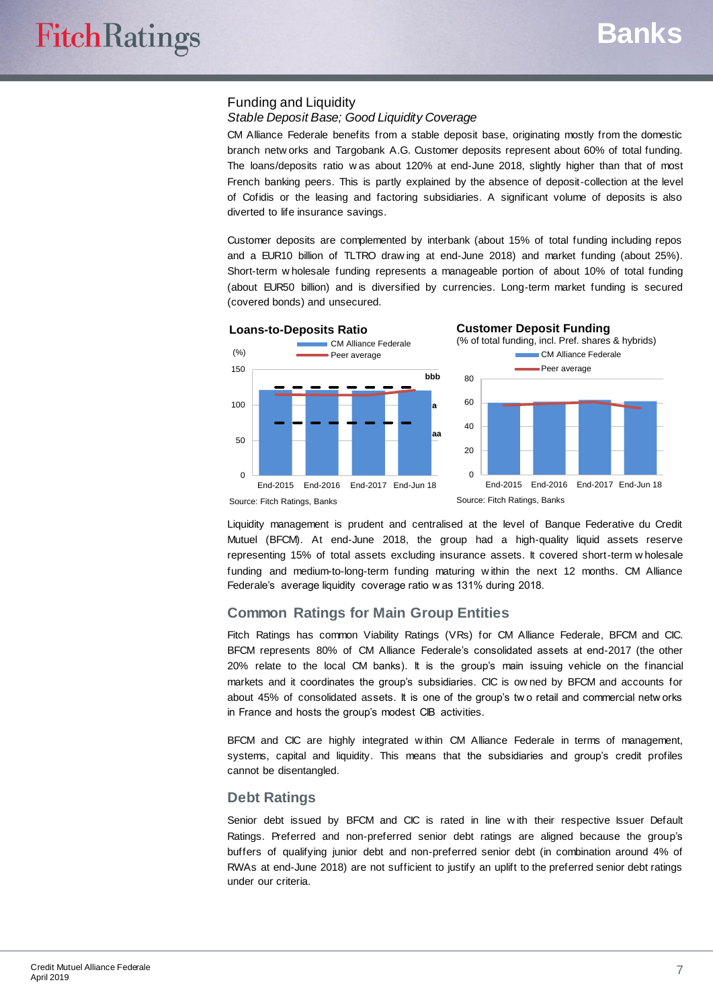## Funding and Liquidity

# *Stable Deposit Base; Good Liquidity Coverage*

CM Alliance Federale benefits from a stable deposit base, originating mostly from the domestic branch netw orks and Targobank A.G. Customer deposits represent about 60% of total funding. The loans/deposits ratio w as about 120% at end-June 2018, slightly higher than that of most French banking peers. This is partly explained by the absence of deposit-collection at the level of Cofidis or the leasing and factoring subsidiaries. A significant volume of deposits is also diverted to life insurance savings.

Customer deposits are complemented by interbank (about 15% of total funding including repos and a EUR10 billion of TLTRO draw ing at end-June 2018) and market funding (about 25%). Short-term w holesale funding represents a manageable portion of about 10% of total funding (about EUR50 billion) and is diversified by currencies. Long-term market funding is secured (covered bonds) and unsecured.



Liquidity management is prudent and centralised at the level of Banque Federative du Credit Mutuel (BFCM). At end-June 2018, the group had a high-quality liquid assets reserve representing 15% of total assets excluding insurance assets. It covered short-term w holesale funding and medium-to-long-term funding maturing w ithin the next 12 months. CM Alliance Federale's average liquidity coverage ratio w as 131% during 2018.

# **Common Ratings for Main Group Entities**

Fitch Ratings has common Viability Ratings (VRs) for CM Alliance Federale, BFCM and CIC. BFCM represents 80% of CM Alliance Federale's consolidated assets at end-2017 (the other 20% relate to the local CM banks). It is the group's main issuing vehicle on the financial markets and it coordinates the group's subsidiaries. CIC is ow ned by BFCM and accounts for about 45% of consolidated assets. It is one of the group's tw o retail and commercial netw orks in France and hosts the group's modest CIB activities.

BFCM and CIC are highly integrated w ithin CM Alliance Federale in terms of management, systems, capital and liquidity. This means that the subsidiaries and group's credit profiles cannot be disentangled.

#### **Debt Ratings**

Senior debt issued by BFCM and CIC is rated in line with their respective Issuer Default Ratings. Preferred and non-preferred senior debt ratings are aligned because the group's buffers of qualifying junior debt and non-preferred senior debt (in combination around 4% of RWAs at end-June 2018) are not sufficient to justify an uplift to the preferred senior debt ratings under our criteria.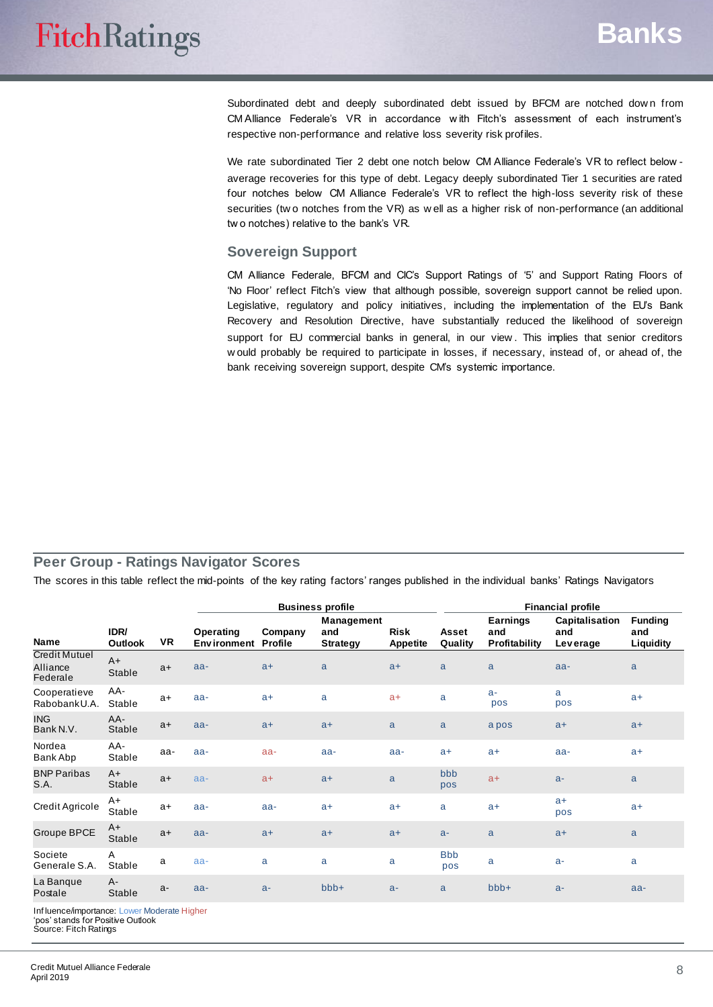Subordinated debt and deeply subordinated debt issued by BFCM are notched dow n from CM Alliance Federale's VR in accordance w ith Fitch's assessment of each instrument's respective non-performance and relative loss severity risk profiles.

We rate subordinated Tier 2 debt one notch below CM Alliance Federale's VR to reflect below average recoveries for this type of debt. Legacy deeply subordinated Tier 1 securities are rated four notches below CM Alliance Federale's VR to reflect the high-loss severity risk of these securities (tw o notches from the VR) as w ell as a higher risk of non-performance (an additional tw o notches) relative to the bank's VR.

#### **Sovereign Support**

CM Alliance Federale, BFCM and CIC's Support Ratings of '5' and Support Rating Floors of 'No Floor' reflect Fitch's view that although possible, sovereign support cannot be relied upon. Legislative, regulatory and policy initiatives, including the implementation of the EU's Bank Recovery and Resolution Directive, have substantially reduced the likelihood of sovereign support for EU commercial banks in general, in our view. This implies that senior creditors w ould probably be required to participate in losses, if necessary, instead of, or ahead of, the bank receiving sovereign support, despite CM's systemic importance.

# **Peer Group - Ratings Navigator Scores**

The scores in this table reflect the mid-points of the key rating factors' ranges published in the individual banks' Ratings Navigators

|                                              |                 |      | <b>Business profile</b>                 |         |                                      |                         | <b>Financial profile</b> |                                         |                                   |                                    |  |  |  |
|----------------------------------------------|-----------------|------|-----------------------------------------|---------|--------------------------------------|-------------------------|--------------------------|-----------------------------------------|-----------------------------------|------------------------------------|--|--|--|
| <b>Name</b>                                  | IDR/<br>Outlook | VR   | Operating<br><b>Environment Profile</b> | Company | Management<br>and<br><b>Strategy</b> | Risk<br><b>Appetite</b> | Asset<br>Quality         | <b>Earnings</b><br>and<br>Profitability | Capitalisation<br>and<br>Leverage | <b>Funding</b><br>and<br>Liquidity |  |  |  |
| <b>Credit Mutuel</b><br>Alliance<br>Federale | $A+$<br>Stable  | $a+$ | aa-                                     | $a+$    | a                                    | $a+$                    | a                        | a                                       | aa-                               | a                                  |  |  |  |
| Cooperatieve<br>RabobankU.A.                 | AA-<br>Stable   | $a+$ | aa-                                     | $a+$    | a                                    | $a+$                    | a                        | $a-$<br>pos                             | a<br>pos                          | $a+$                               |  |  |  |
| <b>ING</b><br>Bank N.V.                      | AA-<br>Stable   | $a+$ | aa-                                     | $a+$    | $a+$                                 | a                       | a                        | a pos                                   | $a+$                              | $a+$                               |  |  |  |
| Nordea<br>Bank Abp                           | AA-<br>Stable   | aa-  | aa-                                     | aa-     | aa-                                  | aa-                     | $a+$                     | $a+$                                    | aa-                               | $a+$                               |  |  |  |
| <b>BNP Paribas</b><br>S.A.                   | $A+$<br>Stable  | $a+$ | aa-                                     | $a+$    | $a+$                                 | a                       | bbb<br>pos               | $a+$                                    | $a -$                             | a                                  |  |  |  |
| Credit Agricole                              | A+<br>Stable    | $a+$ | aa-                                     | aa-     | $a+$                                 | $a+$                    | a                        | $a+$                                    | $a+$<br>pos                       | $a+$                               |  |  |  |
| Groupe BPCE                                  | $A+$<br>Stable  | $a+$ | aa-                                     | $a+$    | $a+$                                 | $a+$                    | $a-$                     | a                                       | $a+$                              | a                                  |  |  |  |
| Societe<br>Generale S.A.                     | A<br>Stable     | a    | aa-                                     | a       | a                                    | a                       | <b>Bbb</b><br>pos        | a                                       | $a-$                              | a                                  |  |  |  |
| La Banque<br>Postale                         | $A -$<br>Stable | $a-$ | aa-                                     | $a -$   | $bbb+$                               | $a -$                   | a                        | $bbb+$                                  | $a -$                             | aa-                                |  |  |  |
|                                              |                 |      |                                         |         |                                      |                         |                          |                                         |                                   |                                    |  |  |  |

Inf luence/importance: Lower Moderate Higher

'pos' stands for Positive Outlook Source: Fitch Ratings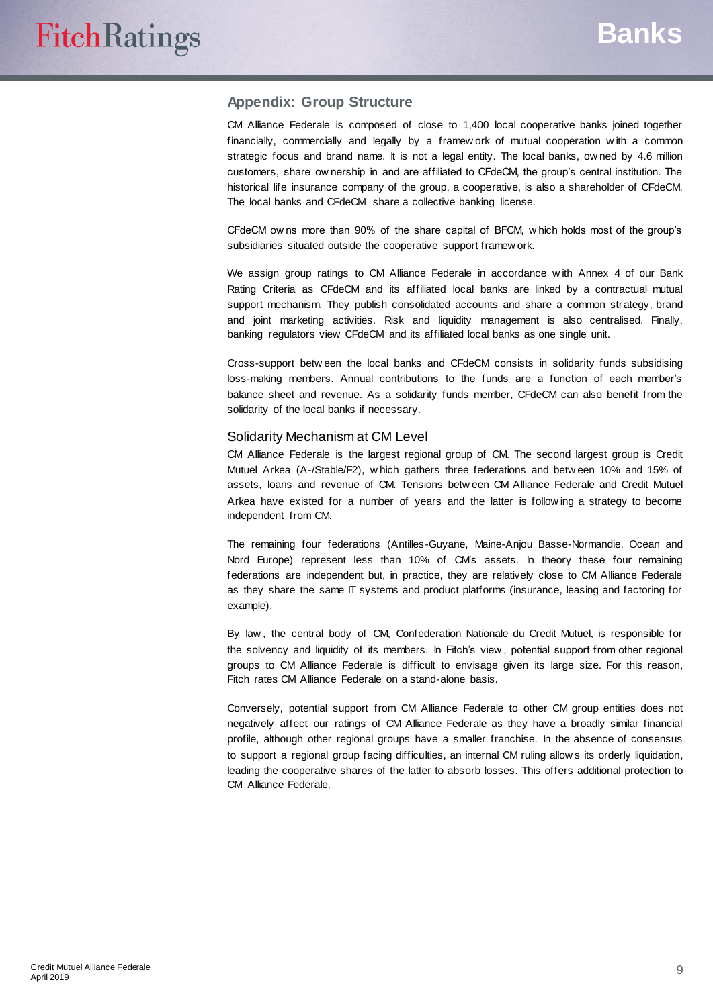### **Appendix: Group Structure**

CM Alliance Federale is composed of close to 1,400 local cooperative banks joined together financially, commercially and legally by a framew ork of mutual cooperation w ith a common strategic focus and brand name. It is not a legal entity. The local banks, ow ned by 4.6 million customers, share ow nership in and are affiliated to CFdeCM, the group's central institution. The historical life insurance company of the group, a cooperative, is also a shareholder of CFdeCM. The local banks and CFdeCM share a collective banking license.

CFdeCM ow ns more than 90% of the share capital of BFCM, w hich holds most of the group's subsidiaries situated outside the cooperative support framew ork.

We assign group ratings to CM Alliance Federale in accordance w ith Annex 4 of our Bank Rating Criteria as CFdeCM and its affiliated local banks are linked by a contractual mutual support mechanism. They publish consolidated accounts and share a common strategy, brand and joint marketing activities. Risk and liquidity management is also centralised. Finally, banking regulators view CFdeCM and its affiliated local banks as one single unit.

Cross-support betw een the local banks and CFdeCM consists in solidarity funds subsidising loss-making members. Annual contributions to the funds are a function of each member's balance sheet and revenue. As a solidarity funds member, CFdeCM can also benefit from the solidarity of the local banks if necessary.

#### Solidarity Mechanism at CM Level

CM Alliance Federale is the largest regional group of CM. The second largest group is Credit Mutuel Arkea (A-/Stable/F2), w hich gathers three federations and betw een 10% and 15% of assets, loans and revenue of CM. Tensions betw een CM Alliance Federale and Credit Mutuel Arkea have existed for a number of years and the latter is follow ing a strategy to become independent from CM.

The remaining four federations (Antilles-Guyane, Maine-Anjou Basse-Normandie, Ocean and Nord Europe) represent less than 10% of CM's assets. In theory these four remaining federations are independent but, in practice, they are relatively close to CM Alliance Federale as they share the same IT systems and product platforms (insurance, leasing and factoring for example).

By law , the central body of CM, Confederation Nationale du Credit Mutuel, is responsible for the solvency and liquidity of its members. In Fitch's view , potential support from other regional groups to CM Alliance Federale is difficult to envisage given its large size. For this reason, Fitch rates CM Alliance Federale on a stand-alone basis.

Conversely, potential support from CM Alliance Federale to other CM group entities does not negatively affect our ratings of CM Alliance Federale as they have a broadly similar financial profile, although other regional groups have a smaller franchise. In the absence of consensus to support a regional group facing difficulties, an internal CM ruling allow s its orderly liquidation, leading the cooperative shares of the latter to absorb losses. This offers additional protection to CM Alliance Federale.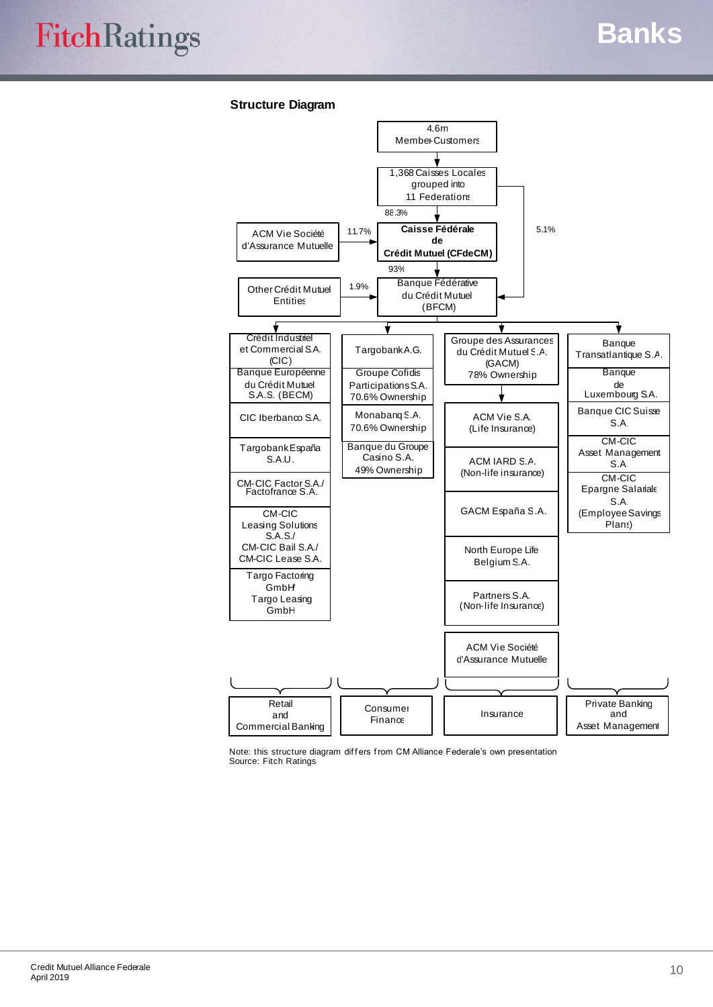#### **Structure Diagram**



Note: this structure diagram differs from CM Alliance Federale's own presentation Source: Fitch Ratings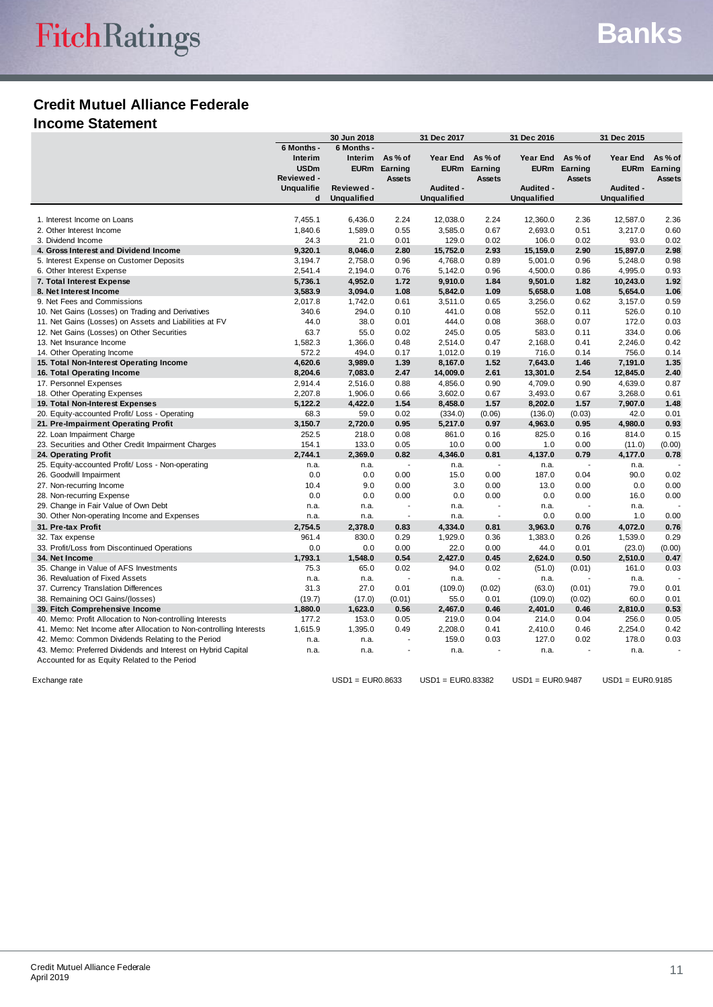# **Credit Mutuel Alliance Federale Income Statement**

|                                                                    |                   | 30 Jun 2018 |                          | 31 Dec 2017        |                          | 31 Dec 2016        |                          | 31 Dec 2015        |               |
|--------------------------------------------------------------------|-------------------|-------------|--------------------------|--------------------|--------------------------|--------------------|--------------------------|--------------------|---------------|
|                                                                    | 6 Months -        | 6 Months -  |                          |                    |                          |                    |                          |                    |               |
|                                                                    | Interim           | Interim     | As % of                  | Year End           | As % of                  | Year End           | As % of                  | Year End           | As % of       |
|                                                                    | <b>USDm</b>       |             | <b>EURm</b> Earning      | <b>EURm</b>        | Earning                  | <b>EURm</b>        | Earning                  | <b>EURm</b>        | Earning       |
|                                                                    | Reviewed -        |             | Assets                   |                    | Assets                   |                    | <b>Assets</b>            |                    | <b>Assets</b> |
|                                                                    | <b>Unqualifie</b> | Reviewed -  |                          | Audited -          |                          | Audited -          |                          | Audited -          |               |
|                                                                    | d                 | Unqualified |                          | <b>Unqualified</b> |                          | <b>Unqualified</b> |                          | <b>Unqualified</b> |               |
|                                                                    |                   |             |                          |                    |                          |                    |                          |                    |               |
| 1. Interest Income on Loans                                        | 7.455.1           | 6.436.0     | 2.24                     | 12.038.0           | 2.24                     | 12.360.0           | 2.36                     | 12.587.0           | 2.36          |
| 2. Other Interest Income                                           | 1,840.6           | 1,589.0     | 0.55                     | 3,585.0            | 0.67                     | 2,693.0            | 0.51                     | 3,217.0            | 0.60          |
| 3. Dividend Income                                                 | 24.3              | 21.0        | 0.01                     | 129.0              | 0.02                     | 106.0              | 0.02                     | 93.0               | 0.02          |
| 4. Gross Interest and Dividend Income                              | 9,320.1           | 8,046.0     | 2.80                     | 15,752.0           | 2.93                     | 15,159.0           | 2.90                     | 15,897.0           | 2.98          |
| 5. Interest Expense on Customer Deposits                           | 3,194.7           | 2,758.0     | 0.96                     | 4,768.0            | 0.89                     | 5,001.0            | 0.96                     | 5,248.0            | 0.98          |
| 6. Other Interest Expense                                          | 2,541.4           | 2,194.0     | 0.76                     | 5,142.0            | 0.96                     | 4,500.0            | 0.86                     | 4,995.0            | 0.93          |
| 7. Total Interest Expense                                          | 5,736.1           | 4,952.0     | 1.72                     | 9,910.0            | 1.84                     | 9,501.0            | 1.82                     | 10,243.0           | 1.92          |
| 8. Net Interest Income                                             | 3,583.9           | 3,094.0     | 1.08                     | 5,842.0            | 1.09                     | 5,658.0            | 1.08                     | 5,654.0            | 1.06          |
| 9. Net Fees and Commissions                                        | 2,017.8           | 1,742.0     | 0.61                     | 3,511.0            | 0.65                     | 3,256.0            | 0.62                     | 3,157.0            | 0.59          |
| 10. Net Gains (Losses) on Trading and Derivatives                  | 340.6             | 294.0       | 0.10                     | 441.0              | 0.08                     | 552.0              | 0.11                     | 526.0              | 0.10          |
| 11. Net Gains (Losses) on Assets and Liabilities at FV             | 44.0              | 38.0        | 0.01                     | 444.0              | 0.08                     | 368.0              | 0.07                     | 172.0              | 0.03          |
| 12. Net Gains (Losses) on Other Securities                         | 63.7              | 55.0        | 0.02                     | 245.0              | 0.05                     | 583.0              | 0.11                     | 334.0              | 0.06          |
| 13. Net Insurance Income                                           | 1,582.3           | 1,366.0     | 0.48                     | 2,514.0            | 0.47                     | 2,168.0            | 0.41                     | 2,246.0            | 0.42          |
| 14. Other Operating Income                                         | 572.2             | 494.0       | 0.17                     | 1,012.0            | 0.19                     | 716.0              | 0.14                     | 756.0              | 0.14          |
| 15. Total Non-Interest Operating Income                            | 4,620.6           | 3,989.0     | 1.39                     | 8,167.0            | 1.52                     | 7,643.0            | 1.46                     | 7,191.0            | 1.35          |
| 16. Total Operating Income                                         | 8,204.6           | 7,083.0     | 2.47                     | 14,009.0           | 2.61                     | 13,301.0           | 2.54                     | 12,845.0           | 2.40          |
| 17. Personnel Expenses                                             | 2,914.4           | 2,516.0     | 0.88                     | 4,856.0            | 0.90                     | 4,709.0            | 0.90                     | 4,639.0            | 0.87          |
| 18. Other Operating Expenses                                       | 2,207.8           | 1,906.0     | 0.66                     | 3,602.0            | 0.67                     | 3,493.0            | 0.67                     | 3,268.0            | 0.61          |
| 19. Total Non-Interest Expenses                                    | 5,122.2           | 4,422.0     | 1.54                     | 8,458.0            | 1.57                     | 8,202.0            | 1.57                     | 7,907.0            | 1.48          |
| 20. Equity-accounted Profit/ Loss - Operating                      | 68.3              | 59.0        | 0.02                     | (334.0)            | (0.06)                   | (136.0)            | (0.03)                   | 42.0               | 0.01          |
| 21. Pre-Impairment Operating Profit                                | 3,150.7           | 2,720.0     | 0.95                     | 5,217.0            | 0.97                     | 4,963.0            | 0.95                     | 4,980.0            | 0.93          |
| 22. Loan Impairment Charge                                         | 252.5             | 218.0       | 0.08                     | 861.0              | 0.16                     | 825.0              | 0.16                     | 814.0              | 0.15          |
| 23. Securities and Other Credit Impairment Charges                 | 154.1             | 133.0       | 0.05                     | 10.0               | 0.00                     | 1.0                | 0.00                     | (11.0)             | (0.00)        |
| 24. Operating Profit                                               | 2,744.1           | 2,369.0     | 0.82                     | 4,346.0            | 0.81                     | 4,137.0            | 0.79                     | 4,177.0            | 0.78          |
| 25. Equity-accounted Profit/ Loss - Non-operating                  | n.a.              | n.a.        | $\overline{\phantom{a}}$ | n.a.               | $\overline{\phantom{a}}$ | n.a.               | $\overline{\phantom{a}}$ | n.a.               |               |
| 26. Goodwill Impairment                                            | 0.0               | 0.0         | 0.00                     | 15.0               | 0.00                     | 187.0              | 0.04                     | 90.0               | 0.02          |
| 27. Non-recurring Income                                           | 10.4              | 9.0         | 0.00                     | 3.0                | 0.00                     | 13.0               | 0.00                     | 0.0                | 0.00          |
| 28. Non-recurring Expense                                          | 0.0               | 0.0         | 0.00                     | 0.0                | 0.00                     | 0.0                | 0.00                     | 16.0               | 0.00          |
| 29. Change in Fair Value of Own Debt                               | n.a.              | n.a.        | $\overline{a}$           | n.a.               | ÷.                       | n.a.               | $\sim$                   | n.a.               |               |
| 30. Other Non-operating Income and Expenses                        | n.a.              | n.a.        | $\overline{\phantom{a}}$ | n.a.               | $\overline{\phantom{a}}$ | 0.0                | 0.00                     | 1.0                | 0.00          |
| 31. Pre-tax Profit                                                 | 2,754.5           | 2,378.0     | 0.83                     | 4,334.0            | 0.81                     | 3,963.0            | 0.76                     | 4,072.0            | 0.76          |
| 32. Tax expense                                                    | 961.4             | 830.0       | 0.29                     | 1,929.0            | 0.36                     | 1,383.0            | 0.26                     | 1,539.0            | 0.29          |
| 33. Profit/Loss from Discontinued Operations                       | 0.0               | 0.0         | 0.00                     | 22.0               | 0.00                     | 44.0               | 0.01                     | (23.0)             | (0.00)        |
| 34. Net Income                                                     | 1,793.1           | 1,548.0     | 0.54                     | 2,427.0            | 0.45                     | 2,624.0            | 0.50                     | 2,510.0            | 0.47          |
| 35. Change in Value of AFS Investments                             | 75.3              | 65.0        | 0.02                     | 94.0               | 0.02                     | (51.0)             | (0.01)                   | 161.0              | 0.03          |
| 36. Revaluation of Fixed Assets                                    | n.a.              | n.a.        | $\blacksquare$           | n.a.               | ÷,                       | n.a.               |                          | n.a.               |               |
| 37. Currency Translation Differences                               | 31.3              | 27.0        | 0.01                     | (109.0)            | (0.02)                   | (63.0)             | (0.01)                   | 79.0               | 0.01          |
| 38. Remaining OCI Gains/(losses)                                   | (19.7)            | (17.0)      | (0.01)                   | 55.0               | 0.01                     | (109.0)            | (0.02)                   | 60.0               | 0.01          |
| 39. Fitch Comprehensive Income                                     | 1,880.0           | 1,623.0     | 0.56                     | 2,467.0            | 0.46                     | 2,401.0            | 0.46                     | 2,810.0            | 0.53          |
| 40. Memo: Profit Allocation to Non-controlling Interests           | 177.2             | 153.0       | 0.05                     | 219.0              | 0.04                     | 214.0              | 0.04                     | 256.0              | 0.05          |
| 41. Memo: Net Income after Allocation to Non-controlling Interests | 1,615.9           | 1,395.0     | 0.49                     | 2,208.0            | 0.41                     | 2,410.0            | 0.46                     | 2,254.0            | 0.42          |
| 42. Memo: Common Dividends Relating to the Period                  | n.a.              | n.a.        | $\overline{a}$           | 159.0              | 0.03                     | 127.0              | 0.02                     | 178.0              | 0.03          |
| 43. Memo: Preferred Dividends and Interest on Hybrid Capital       | n.a.              | n.a.        |                          | n.a.               |                          | n.a.               |                          | n.a.               |               |
| Accounted for as Equity Related to the Period                      |                   |             |                          |                    |                          |                    |                          |                    |               |
|                                                                    |                   |             |                          |                    |                          |                    |                          |                    |               |

Exchange rate

USD1 = EUR0.8633 USD1 = EUR0.83382 USD1 = EUR0.9487 USD1 = EUR0.9185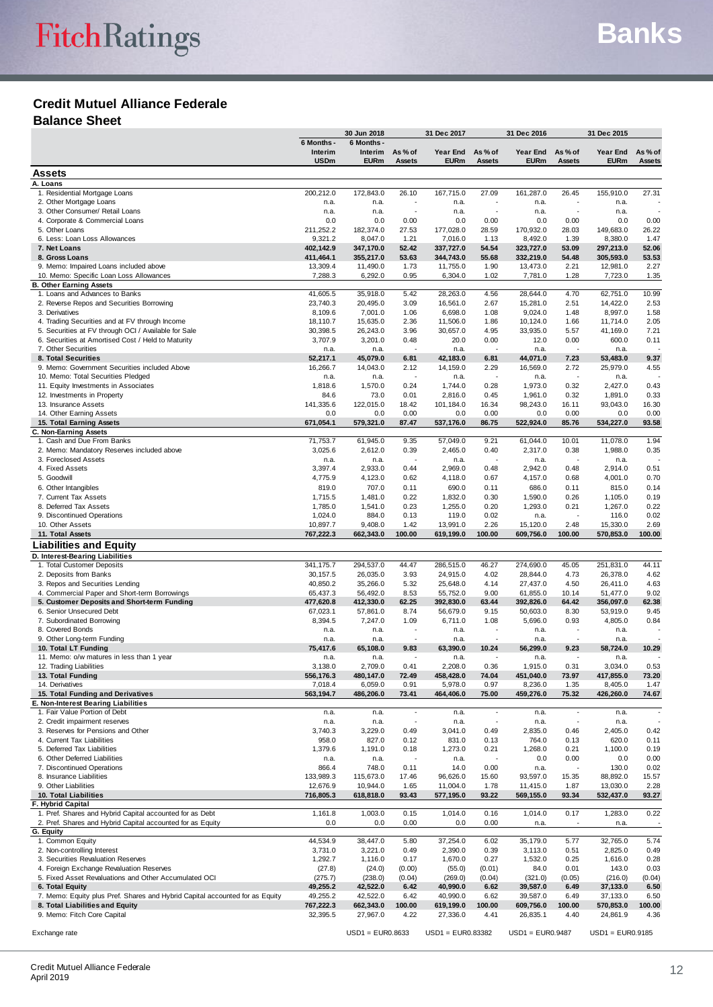# **Credit Mutuel Alliance Federale**

**Balance Sheet**

|                                                                              | 30 Jun 2018           |                       | 31 Dec 2017              |                       |                        | 31 Dec 2016           |                          | 31 Dec 2015           |                          |
|------------------------------------------------------------------------------|-----------------------|-----------------------|--------------------------|-----------------------|------------------------|-----------------------|--------------------------|-----------------------|--------------------------|
|                                                                              | 6 Months -<br>Interim | 6 Months -<br>Interim | As % of                  | Year End              | As % of                | Year End              | As % of                  | Year End              | As % of                  |
|                                                                              | <b>USDm</b>           | <b>EURm</b>           | Assets                   | <b>EURm</b>           | Assets                 | <b>EURm</b>           | Assets                   | <b>EURm</b>           | Assets                   |
| <b>Assets</b>                                                                |                       |                       |                          |                       |                        |                       |                          |                       |                          |
| A. Loans                                                                     |                       |                       |                          |                       |                        |                       |                          |                       |                          |
| 1. Residential Mortgage Loans<br>2. Other Mortgage Loans                     | 200,212.0<br>n.a.     | 172,843.0<br>n.a.     | 26.10                    | 167,715.0<br>n.a.     | 27.09                  | 161,287.0<br>n.a.     | 26.45                    | 155,910.0<br>n.a.     | 27.31                    |
| 3. Other Consumer/ Retail Loans                                              | n.a.                  | n.a.                  | ÷,                       | n.a.                  | ÷,                     | n.a.                  | $\sim$                   | n.a.                  |                          |
| 4. Corporate & Commercial Loans                                              | 0.0                   | 0.0                   | 0.00                     | 0.0                   | 0.00                   | 0.0                   | 0.00                     | 0.0                   | 0.00                     |
| 5. Other Loans<br>6. Less: Loan Loss Allowances                              | 211,252.2<br>9,321.2  | 182,374.0<br>8,047.0  | 27.53<br>1.21            | 177,028.0<br>7,016.0  | 28.59<br>1.13          | 170,932.0<br>8,492.0  | 28.03<br>1.39            | 149,683.0<br>8,380.0  | 26.22<br>1.47            |
| 7. Net Loans                                                                 | 402,142.9             | 347,170.0             | 52.42                    | 337,727.0             | 54.54                  | 323,727.0             | 53.09                    | 297,213.0             | 52.06                    |
| 8. Gross Loans                                                               | 411,464.1             | 355,217.0             | 53.63                    | 344,743.0             | 55.68                  | 332,219.0             | 54.48                    | 305,593.0             | 53.53                    |
| 9. Memo: Impaired Loans included above                                       | 13,309.4              | 11,490.0              | 1.73<br>0.95             | 11,755.0              | 1.90                   | 13,473.0              | 2.21                     | 12,981.0              | 2.27                     |
| 10. Memo: Specific Loan Loss Allowances<br><b>B. Other Earning Assets</b>    | 7,288.3               | 6,292.0               |                          | 6,304.0               | 1.02                   | 7,781.0               | 1.28                     | 7,723.0               | 1.35                     |
| 1. Loans and Advances to Banks                                               | 41,605.5              | 35,918.0              | 5.42                     | 28,263.0              | 4.56                   | 28,644.0              | 4.70                     | 62,751.0              | 10.99                    |
| 2. Reverse Repos and Securities Borrowing                                    | 23,740.3              | 20,495.0              | 3.09                     | 16,561.0              | 2.67                   | 15,281.0              | 2.51                     | 14,422.0              | 2.53                     |
| 3. Derivatives<br>4. Trading Securities and at FV through Income             | 8,109.6<br>18,110.7   | 7,001.0<br>15,635.0   | 1.06<br>2.36             | 6,698.0<br>11,506.0   | 1.08<br>1.86           | 9,024.0<br>10,124.0   | 1.48<br>1.66             | 8,997.0<br>11,714.0   | 1.58<br>2.05             |
| 5. Securities at FV through OCI / Available for Sale                         | 30,398.5              | 26,243.0              | 3.96                     | 30,657.0              | 4.95                   | 33,935.0              | 5.57                     | 41,169.0              | 7.21                     |
| 6. Securities at Amortised Cost / Held to Maturity                           | 3,707.9               | 3,201.0               | 0.48                     | 20.0                  | 0.00                   | 12.0                  | 0.00                     | 600.0                 | 0.11                     |
| 7. Other Securities                                                          | n.a.                  | n.a.                  | J.                       | n.a.                  | ä,                     | n.a.                  | $\sim$                   | n.a.                  | ۰.                       |
| 8. Total Securities<br>9. Memo: Government Securities included Above         | 52,217.1<br>16,266.7  | 45,079.0<br>14,043.0  | 6.81<br>2.12             | 42,183.0<br>14,159.0  | 6.81<br>2.29           | 44,071.0<br>16,569.0  | 7.23<br>2.72             | 53,483.0<br>25,979.0  | 9.37<br>4.55             |
| 10. Memo: Total Securities Pledged                                           | n.a.                  | n.a.                  | ÷,                       | n.a.                  | ÷,                     | n.a.                  | $\sim$                   | n.a.                  | $\overline{\phantom{a}}$ |
| 11. Equity Investments in Associates                                         | 1,818.6               | 1,570.0               | 0.24                     | 1,744.0               | 0.28                   | 1,973.0               | 0.32                     | 2,427.0               | 0.43                     |
| 12. Investments in Property                                                  | 84.6                  | 73.0                  | 0.01                     | 2,816.0               | 0.45                   | 1,961.0               | 0.32                     | 1,891.0               | 0.33                     |
| 13. Insurance Assets                                                         | 141,335.6             | 122,015.0             | 18.42                    | 101,184.0             | 16.34                  | 98,243.0              | 16.11                    | 93,043.0              | 16.30                    |
| 14. Other Earning Assets<br>15. Total Earning Assets                         | 0.0<br>671,054.1      | 0.0<br>579,321.0      | 0.00<br>87.47            | 0.0<br>537,176.0      | 0.00<br>86.75          | 0.0<br>522,924.0      | 0.00<br>85.76            | 0.0<br>534,227.0      | 0.00<br>93.58            |
| C. Non-Earning Assets                                                        |                       |                       |                          |                       |                        |                       |                          |                       |                          |
| 1. Cash and Due From Banks                                                   | 71,753.7              | 61,945.0              | 9.35                     | 57,049.0              | 9.21                   | 61,044.0              | 10.01                    | 11,078.0              | 1.94                     |
| 2. Memo: Mandatory Reserves included above                                   | 3,025.6               | 2,612.0               | 0.39<br>J.               | 2,465.0               | 0.40<br>ä,             | 2,317.0               | 0.38                     | 1,988.0               | 0.35                     |
| 3. Foreclosed Assets<br>4. Fixed Assets                                      | n.a.<br>3,397.4       | n.a.<br>2,933.0       | 0.44                     | n.a.<br>2,969.0       | 0.48                   | n.a.<br>2,942.0       | 0.48                     | n.a.<br>2,914.0       | 0.51                     |
| 5. Goodwill                                                                  | 4,775.9               | 4,123.0               | 0.62                     | 4,118.0               | 0.67                   | 4,157.0               | 0.68                     | 4,001.0               | 0.70                     |
| 6. Other Intangibles                                                         | 819.0                 | 707.0                 | 0.11                     | 690.0                 | 0.11                   | 686.0                 | 0.11                     | 815.0                 | 0.14                     |
| 7. Current Tax Assets                                                        | 1,715.5               | 1,481.0               | 0.22                     | 1,832.0               | 0.30                   | 1,590.0               | 0.26                     | 1,105.0               | 0.19                     |
| 8. Deferred Tax Assets<br>9. Discontinued Operations                         | 1,785.0<br>1,024.0    | 1,541.0<br>884.0      | 0.23<br>0.13             | 1,255.0<br>119.0      | 0.20<br>0.02           | 1,293.0<br>n.a.       | 0.21                     | 1,267.0<br>116.0      | 0.22<br>0.02             |
| 10. Other Assets                                                             | 10,897.7              | 9,408.0               | 1.42                     | 13,991.0              | 2.26                   | 15,120.0              | 2.48                     | 15,330.0              | 2.69                     |
| 11. Total Assets                                                             | 767,222.3             | 662,343.0             | 100.00                   | 619,199.0             | 100.00                 | 609,756.0             | 100.00                   | 570,853.0             | 100.00                   |
| <b>Liabilities and Equity</b>                                                |                       |                       |                          |                       |                        |                       |                          |                       |                          |
| D. Interest-Bearing Liabilities                                              |                       |                       |                          |                       |                        |                       |                          |                       |                          |
| 1. Total Customer Deposits                                                   | 341, 175.7            | 294,537.0             | 44.47                    | 286,515.0             | 46.27<br>4.02          | 274,690.0             | 45.05                    | 251,831.0             | 44.11                    |
| 2. Deposits from Banks<br>3. Repos and Securities Lending                    | 30,157.5<br>40,850.2  | 26,035.0<br>35,266.0  | 3.93<br>5.32             | 24,915.0<br>25,648.0  | 4.14                   | 28,844.0<br>27,437.0  | 4.73<br>4.50             | 26,378.0<br>26,411.0  | 4.62<br>4.63             |
| 4. Commercial Paper and Short-term Borrowings                                | 65,437.3              | 56,492.0              | 8.53                     | 55,752.0              | 9.00                   | 61,855.0              | 10.14                    | 51,477.0              | 9.02                     |
| 5. Customer Deposits and Short-term Funding                                  | 477,620.8             | 412,330.0             | 62.25                    | 392,830.0             | 63.44                  | 392,826.0             | 64.42                    | 356,097.0             | 62.38                    |
| 6. Senior Unsecured Debt                                                     | 67,023.1              | 57,861.0              | 8.74<br>1.09             | 56,679.0              | 9.15<br>1.08           | 50,603.0<br>5,696.0   | 8.30                     | 53,919.0              | 9.45<br>0.84             |
| 7. Subordinated Borrowing<br>8. Covered Bonds                                | 8,394.5<br>n.a.       | 7,247.0<br>n.a.       | ÷,                       | 6,711.0<br>n.a.       | ÷,                     | n.a.                  | 0.93<br>$\sim$           | 4,805.0<br>n.a.       |                          |
| 9. Other Long-term Funding                                                   | n.a.                  | n.a.                  | ÷,                       | n.a.                  | $\sim$                 | n.a.                  | $\sim$                   | n.a.                  |                          |
| 10. Total LT Funding                                                         | 75,417.6              | 65,108.0              | 9.83                     | 63,390.0              | 10.24                  | 56,299.0              | 9.23                     | 58,724.0              | 10.29                    |
| 11. Memo: o/w matures in less than 1 year                                    | n.a.<br>3,138.0       | n.a.<br>2,709.0       | ٠<br>0.41                | n.a.<br>2,208.0       | $\blacksquare$<br>0.36 | n.a.<br>1,915.0       | 0.31                     | n.a.<br>3,034.0       | 0.53                     |
| 12. Trading Liabilities<br>13. Total Funding                                 | 556,176.3             | 480,147.0             | 72.49                    | 458,428.0             | 74.04                  | 451,040.0             | 73.97                    | 417,855.0             | 73.20                    |
| 14. Derivatives                                                              | 7,018.4               | 6,059.0               | 0.91                     | 5,978.0               | 0.97                   | 8,236.0               | 1.35                     | 8,405.0               | 1.47                     |
| 15. Total Funding and Derivatives                                            | 563,194.7             | 486,206.0             | 73.41                    | 464,406.0             | 75.00                  | 459,276.0             | 75.32                    | 426,260.0             | 74.67                    |
| E. Non-Interest Bearing Liabilities<br>1. Fair Value Portion of Debt         | n.a.                  | n.a.                  | $\overline{\phantom{a}}$ | n.a.                  | $\blacksquare$         | n.a.                  | $\sim$                   | n.a.                  |                          |
| 2. Credit impairment reserves                                                | n.a.                  | n.a.                  | ÷,                       | n.a.                  | $\blacksquare$         | n.a.                  | $\overline{\phantom{a}}$ | n.a.                  |                          |
| 3. Reserves for Pensions and Other                                           | 3,740.3               | 3,229.0               | 0.49                     | 3,041.0               | 0.49                   | 2,835.0               | 0.46                     | 2,405.0               | 0.42                     |
| 4. Current Tax Liabilities<br>5. Deferred Tax Liabilities                    | 958.0                 | 827.0                 | 0.12                     | 831.0                 | 0.13                   | 764.0<br>1,268.0      | 0.13                     | 620.0<br>1,100.0      | 0.11<br>0.19             |
| 6. Other Deferred Liabilities                                                | 1,379.6<br>n.a.       | 1,191.0<br>n.a.       | 0.18                     | 1,273.0<br>n.a.       | 0.21<br>÷,             | 0.0                   | 0.21<br>0.00             | 0.0                   | 0.00                     |
| 7. Discontinued Operations                                                   | 866.4                 | 748.0                 | 0.11                     | 14.0                  | 0.00                   | n.a.                  |                          | 130.0                 | 0.02                     |
| 8. Insurance Liabilities                                                     | 133,989.3             | 115,673.0             | 17.46                    | 96,626.0              | 15.60                  | 93,597.0              | 15.35                    | 88,892.0              | 15.57                    |
| 9. Other Liabilities<br>10. Total Liabilities                                | 12,676.9<br>716,805.3 | 10,944.0<br>618,818.0 | 1.65<br>93.43            | 11,004.0<br>577,195.0 | 1.78<br>93.22          | 11,415.0<br>569,155.0 | 1.87<br>93.34            | 13,030.0<br>532,437.0 | 2.28<br>93.27            |
| F. Hybrid Capital                                                            |                       |                       |                          |                       |                        |                       |                          |                       |                          |
| 1. Pref. Shares and Hybrid Capital accounted for as Debt                     | 1,161.8               | 1,003.0               | 0.15                     | 1,014.0               | 0.16                   | 1,014.0               | 0.17                     | 1,283.0               | 0.22                     |
| 2. Pref. Shares and Hybrid Capital accounted for as Equity                   | 0.0                   | 0.0                   | 0.00                     | 0.0                   | 0.00                   | n.a.                  | $\overline{\phantom{a}}$ | n.a.                  | $\overline{\phantom{a}}$ |
| G. Equity<br>1. Common Equity                                                | 44,534.9              | 38,447.0              | 5.80                     | 37,254.0              | 6.02                   | 35,179.0              | 5.77                     | 32,765.0              | 5.74                     |
| 2. Non-controlling Interest                                                  | 3,731.0               | 3,221.0               | 0.49                     | 2,390.0               | 0.39                   | 3,113.0               | 0.51                     | 2,825.0               | 0.49                     |
| 3. Securities Revaluation Reserves                                           | 1,292.7               | 1,116.0               | 0.17                     | 1,670.0               | 0.27                   | 1,532.0               | 0.25                     | 1,616.0               | 0.28                     |
| 4. Foreign Exchange Revaluation Reserves                                     | (27.8)                | (24.0)                | (0.00)                   | (55.0)                | (0.01)                 | 84.0                  | 0.01                     | 143.0                 | 0.03                     |
| 5. Fixed Asset Revaluations and Other Accumulated OCI<br>6. Total Equity     | (275.7)<br>49,255.2   | (238.0)<br>42,522.0   | (0.04)<br>6.42           | (269.0)<br>40,990.0   | (0.04)<br>6.62         | (321.0)<br>39,587.0   | (0.05)<br>6.49           | (216.0)<br>37,133.0   | (0.04)<br>6.50           |
| 7. Memo: Equity plus Pref. Shares and Hybrid Capital accounted for as Equity | 49,255.2              | 42,522.0              | 6.42                     | 40,990.0              | 6.62                   | 39,587.0              | 6.49                     | 37,133.0              | 6.50                     |
| 8. Total Liabilities and Equity                                              | 767,222.3             | 662,343.0             | 100.00                   | 619,199.0             | 100.00                 | 609,756.0             | 100.00                   | 570,853.0             | 100.00                   |
| 9. Memo: Fitch Core Capital                                                  | 32,395.5              | 27,967.0              | 4.22                     | 27,336.0              | 4.41                   | 26,835.1              | 4.40                     | 24,861.9              | 4.36                     |
| Exchange rate                                                                |                       | USD1 = EUR0.8633      |                          | USD1 = EUR0.83382     |                        | $USD1 = EURO.9487$    |                          | $USD1 = EUR0.9185$    |                          |
|                                                                              |                       |                       |                          |                       |                        |                       |                          |                       |                          |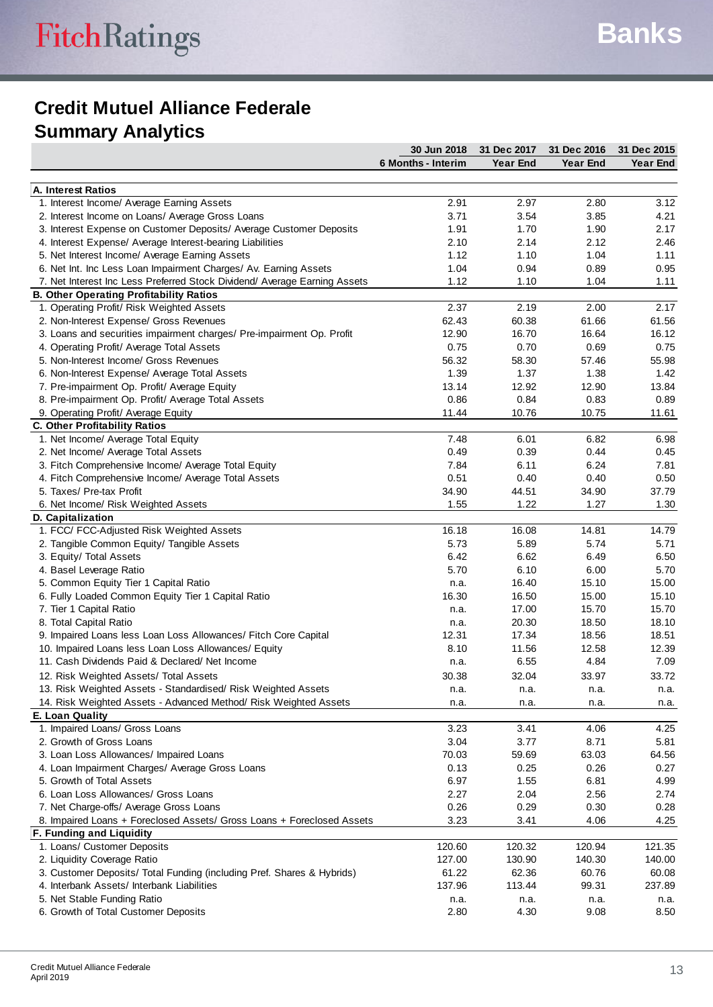# **Credit Mutuel Alliance Federale Summary Analytics**

|                                                                           | 30 Jun 2018        | 31 Dec 2017     | 31 Dec 2016     | 31 Dec 2015     |
|---------------------------------------------------------------------------|--------------------|-----------------|-----------------|-----------------|
|                                                                           | 6 Months - Interim | <b>Year End</b> | <b>Year End</b> | <b>Year End</b> |
|                                                                           |                    |                 |                 |                 |
| A. Interest Ratios                                                        |                    |                 |                 |                 |
| 1. Interest Income/ Average Earning Assets                                | 2.91               | 2.97            | 2.80            | 3.12            |
| 2. Interest Income on Loans/ Average Gross Loans                          | 3.71               | 3.54            | 3.85            | 4.21            |
| 3. Interest Expense on Customer Deposits/ Average Customer Deposits       | 1.91               | 1.70            | 1.90            | 2.17            |
| 4. Interest Expense/ Average Interest-bearing Liabilities                 | 2.10               | 2.14            | 2.12            | 2.46            |
| 5. Net Interest Income/ Average Earning Assets                            | 1.12               | 1.10            | 1.04            | 1.11            |
| 6. Net Int. Inc Less Loan Impairment Charges/ Av. Earning Assets          | 1.04               | 0.94            | 0.89            | 0.95            |
| 7. Net Interest Inc Less Preferred Stock Dividend/ Average Earning Assets | 1.12               | 1.10            | 1.04            | 1.11            |
| <b>B. Other Operating Profitability Ratios</b>                            |                    |                 |                 |                 |
| 1. Operating Profit/ Risk Weighted Assets                                 | 2.37               | 2.19            | 2.00            | 2.17            |
| 2. Non-Interest Expense/ Gross Revenues                                   | 62.43              | 60.38           | 61.66           | 61.56           |
| 3. Loans and securities impairment charges/ Pre-impairment Op. Profit     | 12.90              | 16.70           | 16.64           | 16.12           |
| 4. Operating Profit/ Average Total Assets                                 | 0.75               | 0.70            | 0.69            | 0.75            |
| 5. Non-Interest Income/ Gross Revenues                                    | 56.32              | 58.30           | 57.46           | 55.98           |
| 6. Non-Interest Expense/ Average Total Assets                             | 1.39               | 1.37            | 1.38            | 1.42            |
| 7. Pre-impairment Op. Profit/ Average Equity                              | 13.14              | 12.92           | 12.90           | 13.84           |
| 8. Pre-impairment Op. Profit/ Average Total Assets                        | 0.86               | 0.84            | 0.83            | 0.89            |
| 9. Operating Profit/ Average Equity                                       | 11.44              | 10.76           | 10.75           | 11.61           |
| <b>C. Other Profitability Ratios</b>                                      |                    |                 |                 |                 |
| 1. Net Income/ Average Total Equity                                       | 7.48               | 6.01            | 6.82            | 6.98            |
| 2. Net Income/ Average Total Assets                                       | 0.49               | 0.39            | 0.44            | 0.45            |
| 3. Fitch Comprehensive Income/ Average Total Equity                       | 7.84               | 6.11            | 6.24            | 7.81            |
| 4. Fitch Comprehensive Income/ Average Total Assets                       | 0.51               | 0.40            | 0.40            | 0.50            |
| 5. Taxes/ Pre-tax Profit                                                  | 34.90              | 44.51           | 34.90           | 37.79           |
|                                                                           |                    | 1.22            | 1.27            |                 |
| 6. Net Income/ Risk Weighted Assets                                       | 1.55               |                 |                 | 1.30            |
| D. Capitalization<br>1. FCC/ FCC-Adjusted Risk Weighted Assets            | 16.18              | 16.08           | 14.81           | 14.79           |
|                                                                           |                    |                 |                 |                 |
| 2. Tangible Common Equity/ Tangible Assets                                | 5.73               | 5.89            | 5.74            | 5.71            |
| 3. Equity/ Total Assets                                                   | 6.42               | 6.62            | 6.49            | 6.50            |
| 4. Basel Leverage Ratio                                                   | 5.70               | 6.10            | 6.00            | 5.70            |
| 5. Common Equity Tier 1 Capital Ratio                                     | n.a.               | 16.40           | 15.10           | 15.00           |
| 6. Fully Loaded Common Equity Tier 1 Capital Ratio                        | 16.30              | 16.50           | 15.00           | 15.10           |
| 7. Tier 1 Capital Ratio                                                   | n.a.               | 17.00           | 15.70           | 15.70           |
| 8. Total Capital Ratio                                                    | n.a.               | 20.30           | 18.50           | 18.10           |
| 9. Impaired Loans less Loan Loss Allowances/ Fitch Core Capital           | 12.31              | 17.34           | 18.56           | 18.51           |
| 10. Impaired Loans less Loan Loss Allowances/ Equity                      | 8.10               | 11.56           | 12.58           | 12.39           |
| 11. Cash Dividends Paid & Declared/ Net Income                            | n.a.               | 6.55            | 4.84            | 7.09            |
| 12. Risk Weighted Assets/ Total Assets                                    | 30.38              | 32.04           | 33.97           | 33.72           |
| 13. Risk Weighted Assets - Standardised/ Risk Weighted Assets             | n.a.               | n.a.            | n.a.            | n.a.            |
| 14. Risk Weighted Assets - Advanced Method/ Risk Weighted Assets          | n.a.               | n.a.            | n.a.            | n.a.            |
| E. Loan Quality                                                           |                    |                 |                 |                 |
| 1. Impaired Loans/ Gross Loans                                            | 3.23               | 3.41            | 4.06            | 4.25            |
| 2. Growth of Gross Loans                                                  | 3.04               | 3.77            | 8.71            | 5.81            |
| 3. Loan Loss Allowances/ Impaired Loans                                   | 70.03              | 59.69           | 63.03           | 64.56           |
| 4. Loan Impairment Charges/ Average Gross Loans                           | 0.13               | 0.25            | 0.26            | 0.27            |
| 5. Growth of Total Assets                                                 | 6.97               | 1.55            | 6.81            | 4.99            |
| 6. Loan Loss Allowances/ Gross Loans                                      | 2.27               | 2.04            | 2.56            | 2.74            |
| 7. Net Charge-offs/ Average Gross Loans                                   | 0.26               | 0.29            | 0.30            | 0.28            |
| 8. Impaired Loans + Foreclosed Assets/ Gross Loans + Foreclosed Assets    | 3.23               | 3.41            | 4.06            | 4.25            |
| F. Funding and Liquidity                                                  |                    |                 |                 |                 |
| 1. Loans/ Customer Deposits                                               | 120.60             | 120.32          | 120.94          | 121.35          |
| 2. Liquidity Coverage Ratio                                               | 127.00             | 130.90          | 140.30          | 140.00          |
|                                                                           |                    |                 |                 |                 |
| 3. Customer Deposits/ Total Funding (including Pref. Shares & Hybrids)    | 61.22              | 62.36           | 60.76           | 60.08           |
| 4. Interbank Assets/ Interbank Liabilities                                | 137.96             | 113.44          | 99.31           | 237.89          |
| 5. Net Stable Funding Ratio                                               | n.a.               | n.a.            | n.a.            | n.a.            |
| 6. Growth of Total Customer Deposits                                      | 2.80               | 4.30            | 9.08            | 8.50            |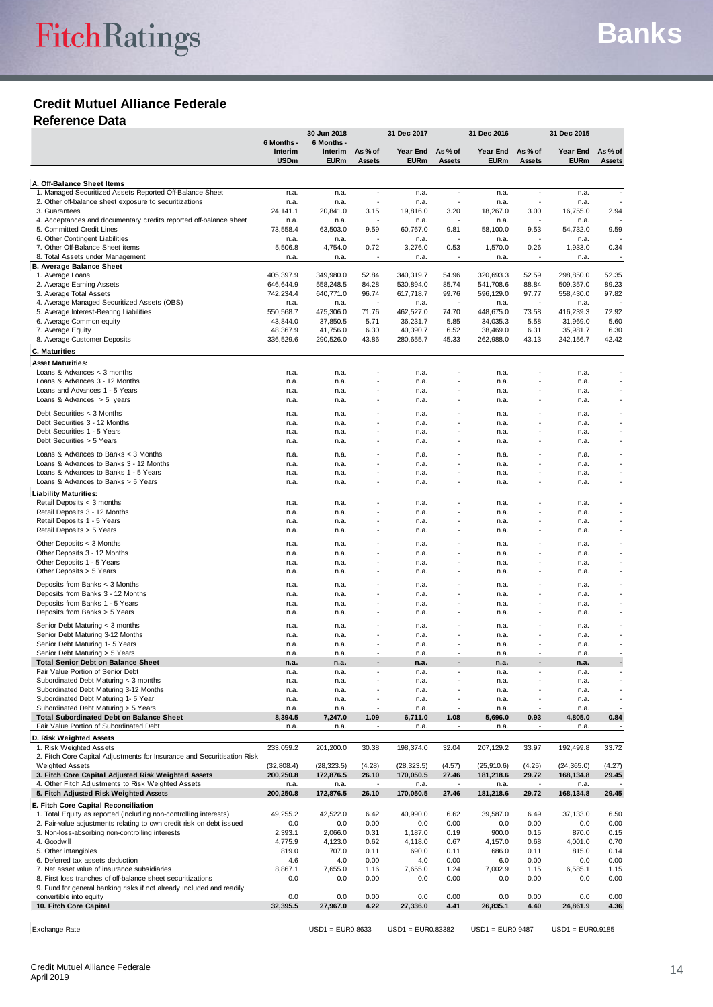# **Credit Mutuel Alliance Federale**

**Reference Data**

|                                                                                                                                           |                        | 30 Jun 2018            |                          | 31 Dec 2017            |                          | 31 Dec 2016            |                          | 31 Dec 2015            |                          |
|-------------------------------------------------------------------------------------------------------------------------------------------|------------------------|------------------------|--------------------------|------------------------|--------------------------|------------------------|--------------------------|------------------------|--------------------------|
|                                                                                                                                           | 6 Months -<br>Interim  | 6 Months -<br>Interim  | As % of                  | Year End               | As $%$ of                | Year End               | As % of                  | Year End               | As % of                  |
|                                                                                                                                           | <b>USDm</b>            | <b>EURm</b>            | Assets                   | <b>EURm</b>            | Assets                   | <b>EURm</b>            | Assets                   | <b>EURm</b>            | <b>Assets</b>            |
|                                                                                                                                           |                        |                        |                          |                        |                          |                        |                          |                        |                          |
| A. Off-Balance Sheet Items                                                                                                                |                        |                        |                          |                        |                          |                        |                          |                        |                          |
| 1. Managed Securitized Assets Reported Off-Balance Sheet                                                                                  | n.a.                   | n.a.                   | ÷,                       | n.a.                   | ÷,                       | n.a.                   | $\sim$                   | n.a.                   | ÷,                       |
| 2. Other off-balance sheet exposure to securitizations<br>3. Guarantees                                                                   | n.a.<br>24,141.1       | n.a.<br>20,841.0       | ÷,<br>3.15               | n.a.<br>19,816.0       | 3.20                     | n.a.<br>18.267.0       | 3.00                     | n.a.<br>16,755.0       | 2.94                     |
| 4. Acceptances and documentary credits reported off-balance sheet                                                                         | n.a.                   | n.a.                   | ÷.                       | n.a.                   |                          | n.a.                   | $\overline{a}$           | n.a.                   |                          |
| 5. Committed Credit Lines                                                                                                                 | 73,558.4               | 63,503.0               | 9.59                     | 60,767.0               | 9.81                     | 58,100.0               | 9.53                     | 54,732.0               | 9.59                     |
| 6. Other Contingent Liabilities<br>7. Other Off-Balance Sheet items                                                                       | n.a.<br>5,506.8        | n.a.<br>4,754.0        | ٠<br>0.72                | n.a.<br>3,276.0        | 0.53                     | n.a.<br>1,570.0        | 0.26                     | n.a.<br>1,933.0        | 0.34                     |
| 8. Total Assets under Management                                                                                                          | n.a.                   | n.a.                   | $\overline{\phantom{a}}$ | n.a.                   | $\overline{\phantom{a}}$ | n.a.                   | $\sim$                   | n.a.                   | $\overline{\phantom{a}}$ |
| <b>B. Average Balance Sheet</b>                                                                                                           |                        |                        |                          |                        |                          |                        |                          |                        |                          |
| 1. Average Loans                                                                                                                          | 405,397.9              | 349,980.0              | 52.84                    | 340.319.7              | 54.96                    | 320,693.3              | 52.59                    | 298,850.0              | 52.35                    |
| 2. Average Earning Assets<br>3. Average Total Assets                                                                                      | 646,644.9<br>742,234.4 | 558,248.5<br>640,771.0 | 84.28<br>96.74           | 530,894.0<br>617,718.7 | 85.74<br>99.76           | 541,708.6<br>596,129.0 | 88.84<br>97.77           | 509,357.0<br>558,430.0 | 89.23<br>97.82           |
| 4. Average Managed Securitized Assets (OBS)                                                                                               | n.a.                   | n.a.                   | $\overline{\phantom{a}}$ | n.a.                   |                          | n.a.                   |                          | n.a.                   |                          |
| 5. Average Interest-Bearing Liabilities                                                                                                   | 550,568.7              | 475,306.0              | 71.76                    | 462,527.0              | 74.70                    | 448,675.0              | 73.58                    | 416,239.3              | 72.92                    |
| 6. Average Common equity                                                                                                                  | 43,844.0               | 37,850.5               | 5.71                     | 36,231.7               | 5.85                     | 34,035.3               | 5.58                     | 31,969.0               | 5.60                     |
| 7. Average Equity<br>8. Average Customer Deposits                                                                                         | 48,367.9<br>336,529.6  | 41,756.0<br>290,526.0  | 6.30<br>43.86            | 40,390.7<br>280,655.7  | 6.52<br>45.33            | 38,469.0<br>262,988.0  | 6.31<br>43.13            | 35,981.7<br>242,156.7  | 6.30<br>42.42            |
| <b>C. Maturities</b>                                                                                                                      |                        |                        |                          |                        |                          |                        |                          |                        |                          |
| Asset Maturities:                                                                                                                         |                        |                        |                          |                        |                          |                        |                          |                        |                          |
| Loans & Advances $<$ 3 months                                                                                                             | n.a.                   | n.a.                   |                          | n.a.                   |                          | n.a.                   |                          | n.a.                   |                          |
| Loans & Advances 3 - 12 Months                                                                                                            | n.a.                   | n.a.                   |                          | n.a.                   |                          | n.a.                   |                          | n.a.                   |                          |
| Loans and Advances 1 - 5 Years                                                                                                            | n.a.                   | n.a.                   |                          | n.a.                   |                          | n.a.                   |                          | n.a.                   |                          |
| Loans & Advances $>$ 5 years                                                                                                              | n.a.                   | n.a.                   |                          | n.a.                   |                          | n.a.                   |                          | n.a.                   |                          |
| Debt Securities $<$ 3 Months                                                                                                              | n.a.                   | n.a.                   |                          | n.a.                   |                          | n.a.                   |                          | n.a.                   |                          |
| Debt Securities 3 - 12 Months                                                                                                             | n.a.                   | n.a.                   |                          | n.a.                   |                          | n.a.                   |                          | n.a.                   |                          |
| Debt Securities 1 - 5 Years<br>Debt Securities > 5 Years                                                                                  | n.a.<br>n.a.           | n.a.<br>n.a.           |                          | n.a.<br>n.a.           |                          | n.a.<br>n.a.           |                          | n.a.<br>n.a.           |                          |
|                                                                                                                                           |                        |                        |                          |                        |                          |                        |                          |                        |                          |
| Loans & Advances to Banks < 3 Months<br>Loans & Advances to Banks 3 - 12 Months                                                           | n.a.<br>n.a.           | n.a.<br>n.a.           |                          | n.a.<br>n.a.           |                          | n.a.<br>n.a.           |                          | n.a.<br>n.a.           |                          |
| Loans & Advances to Banks 1 - 5 Years                                                                                                     | n.a.                   | n.a.                   |                          | n.a.                   |                          | n.a.                   |                          | n.a.                   |                          |
| Loans & Advances to Banks > 5 Years                                                                                                       | n.a.                   | n.a.                   |                          | n.a.                   |                          | n.a.                   |                          | n.a.                   |                          |
| <b>Liability Maturities:</b>                                                                                                              |                        |                        |                          |                        |                          |                        |                          |                        |                          |
| Retail Deposits < 3 months                                                                                                                | n.a.                   | n.a.                   |                          | n.a.                   |                          | n.a.                   |                          | n.a.                   |                          |
| Retail Deposits 3 - 12 Months                                                                                                             | n.a.                   | n.a.                   |                          | n.a.                   |                          | n.a.                   |                          | n.a.                   |                          |
| Retail Deposits 1 - 5 Years<br>Retail Deposits > 5 Years                                                                                  | n.a.<br>n.a.           | n.a.<br>n.a.           |                          | n.a.<br>n.a.           |                          | n.a.<br>n.a.           |                          | n.a.<br>n.a.           |                          |
|                                                                                                                                           |                        |                        |                          |                        |                          |                        |                          |                        |                          |
| Other Deposits < 3 Months<br>Other Deposits 3 - 12 Months                                                                                 | n.a.<br>n.a.           | n.a.<br>n.a.           |                          | n.a.<br>n.a.           |                          | n.a.<br>n.a.           |                          | n.a.<br>n.a.           |                          |
| Other Deposits 1 - 5 Years                                                                                                                | n.a.                   | n.a.                   |                          | n.a.                   |                          | n.a.                   |                          | n.a.                   |                          |
| Other Deposits > 5 Years                                                                                                                  | n.a.                   | n.a.                   |                          | n.a.                   |                          | n.a.                   |                          | n.a.                   |                          |
| Deposits from Banks < 3 Months                                                                                                            | n.a.                   | n.a.                   |                          | n.a.                   |                          | n.a.                   |                          | n.a.                   |                          |
| Deposits from Banks 3 - 12 Months                                                                                                         | n.a.                   | n.a.                   |                          | n.a.                   |                          | n.a.                   |                          | n.a.                   |                          |
| Deposits from Banks 1 - 5 Years                                                                                                           | n.a.                   | n.a.                   |                          | n.a.                   |                          | n.a.                   |                          | n.a.                   |                          |
| Deposits from Banks > 5 Years                                                                                                             | n.a.                   | n.a.                   |                          | n.a.                   |                          | n.a.                   |                          | n.a.                   |                          |
| Senior Debt Maturing < 3 months                                                                                                           | n.a.                   | n.a.                   |                          | n.a.                   |                          | n.a.                   |                          | n.a.                   |                          |
| Senior Debt Maturing 3-12 Months                                                                                                          | n.a.                   | n.a.                   |                          | n.a.                   |                          | n.a.                   |                          | n.a.                   |                          |
| Senior Debt Maturing 1- 5 Years<br>Senior Debt Maturing > 5 Years                                                                         | n.a.<br>n.a.           | n.a.<br>n.a.           |                          | n.a.<br>n.a.           |                          | n.a.<br>n.a.           |                          | n.a.<br>n.a.           |                          |
| <b>Total Senior Debt on Balance Sheet</b>                                                                                                 | n.a.                   | n.a.                   |                          | n.a.                   |                          | n.a.                   |                          | n.a.                   |                          |
| Fair Value Portion of Senior Debt                                                                                                         | n.a.                   | n.a.                   |                          | n.a.                   |                          | n.a.                   |                          | n.a.                   |                          |
| Subordinated Debt Maturing < 3 months                                                                                                     | n.a.                   | n.a.                   |                          | n.a.                   |                          | n.a.                   |                          | n.a.                   | $\ddot{\phantom{1}}$     |
| Subordinated Debt Maturing 3-12 Months<br>Subordinated Debt Maturing 1- 5 Year                                                            | n.a.<br>n.a.           | n.a.<br>n.a.           |                          | n.a.<br>n.a.           |                          | n.a.<br>n.a.           |                          | n.a.<br>n.a.           |                          |
| Subordinated Debt Maturing > 5 Years                                                                                                      | n.a.                   | n.a.                   | ÷,                       | n.a.                   |                          | n.a.                   |                          | n.a.                   | $\sim$                   |
| <b>Total Subordinated Debt on Balance Sheet</b>                                                                                           | 8,394.5                | 7,247.0                | 1.09                     | 6,711.0                | 1.08                     | 5,696.0                | 0.93                     | 4,805.0                | 0.84                     |
| Fair Value Portion of Subordinated Debt                                                                                                   | n.a.                   | n.a.                   | $\overline{\phantom{a}}$ | n.a.                   | $\overline{\phantom{a}}$ | n.a.                   | $\overline{\phantom{a}}$ | n.a.                   | $\sim$                   |
| D. Risk Weighted Assets                                                                                                                   |                        |                        |                          |                        |                          |                        |                          |                        |                          |
| 1. Risk Weighted Assets                                                                                                                   | 233,059.2              | 201,200.0              | 30.38                    | 198,374.0              | 32.04                    | 207,129.2              | 33.97                    | 192,499.8              | 33.72                    |
| 2. Fitch Core Capital Adjustments for Insurance and Securitisation Risk<br><b>Weighted Assets</b>                                         | (32, 808.4)            | (28, 323.5)            | (4.28)                   | (28, 323.5)            | (4.57)                   | (25, 910.6)            | (4.25)                   | (24, 365.0)            | (4.27)                   |
| 3. Fitch Core Capital Adjusted Risk Weighted Assets                                                                                       | 200,250.8              | 172,876.5              | 26.10                    | 170,050.5              | 27.46                    | 181,218.6              | 29.72                    | 168,134.8              | 29.45                    |
| 4. Other Fitch Adjustments to Risk Weighted Assets                                                                                        | n.a.                   | n.a.                   | $\sim$                   | n.a.                   | $\overline{\phantom{a}}$ | n.a.                   | $\sim$                   | n.a.                   |                          |
| 5. Fitch Adjusted Risk Weighted Assets                                                                                                    | 200,250.8              | 172,876.5              | 26.10                    | 170,050.5              | 27.46                    | 181,218.6              | 29.72                    | 168,134.8              | 29.45                    |
| E. Fitch Core Capital Reconciliation                                                                                                      |                        |                        |                          |                        |                          |                        |                          |                        |                          |
| 1. Total Equity as reported (including non-controlling interests)<br>2. Fair-value adjustments relating to own credit risk on debt issued | 49,255.2<br>0.0        | 42,522.0               | 6.42<br>0.00             | 40,990.0<br>0.0        | 6.62<br>0.00             | 39,587.0<br>0.0        | 6.49<br>0.00             | 37,133.0<br>0.0        | 6.50<br>0.00             |
| 3. Non-loss-absorbing non-controlling interests                                                                                           | 2,393.1                | 0.0<br>2,066.0         | 0.31                     | 1,187.0                | 0.19                     | 900.0                  | 0.15                     | 870.0                  | 0.15                     |
| 4. Goodwill                                                                                                                               | 4,775.9                | 4,123.0                | 0.62                     | 4,118.0                | 0.67                     | 4,157.0                | 0.68                     | 4,001.0                | 0.70                     |
| 5. Other intangibles                                                                                                                      | 819.0                  | 707.0                  | 0.11                     | 690.0                  | 0.11                     | 686.0                  | 0.11                     | 815.0                  | 0.14                     |
| 6. Deferred tax assets deduction                                                                                                          | 4.6                    | 4.0                    | 0.00                     | 4.0                    | 0.00                     | 6.0                    | 0.00                     | 0.0                    | 0.00                     |
| 7. Net asset value of insurance subsidiaries<br>8. First loss tranches of off-balance sheet securitizations                               | 8,867.1<br>0.0         | 7,655.0<br>0.0         | 1.16<br>0.00             | 7,655.0<br>0.0         | 1.24<br>0.00             | 7,002.9<br>0.0         | 1.15<br>0.00             | 6,585.1<br>0.0         | 1.15<br>0.00             |
| 9. Fund for general banking risks if not already included and readily                                                                     |                        |                        |                          |                        |                          |                        |                          |                        |                          |
| convertible into equity                                                                                                                   | 0.0                    | 0.0                    | 0.00                     | 0.0                    | 0.00                     | 0.0                    | 0.00                     | 0.0                    | 0.00                     |
| 10. Fitch Core Capital                                                                                                                    | 32,395.5               | 27,967.0               | 4.22                     | 27,336.0               | 4.41                     | 26,835.1               | 4.40                     | 24,861.9               | 4.36                     |
|                                                                                                                                           |                        |                        |                          |                        |                          |                        |                          |                        |                          |
| Exchange Rate                                                                                                                             |                        | $USD1 = EURO.8633$     |                          | $USD1 = EUR0.83382$    |                          | $USD1 = EUR0.9487$     |                          | $USD1 = EURO.9185$     |                          |